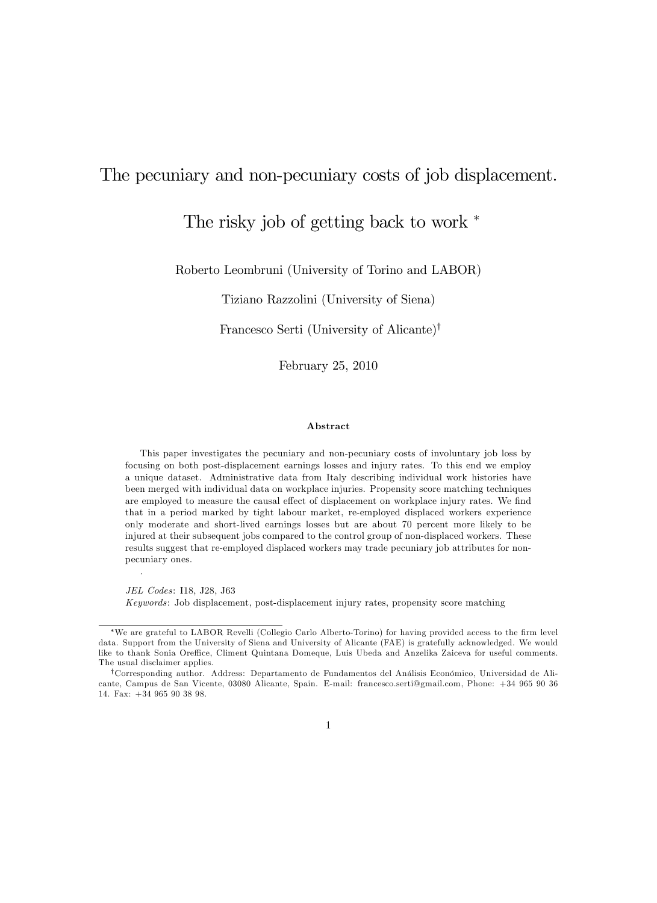## The pecuniary and non-pecuniary costs of job displacement.

## The risky job of getting back to work  $*$

Roberto Leombruni (University of Torino and LABOR)

Tiziano Razzolini (University of Siena)

Francesco Serti (University of Alicante)<sup>†</sup>

February 25, 2010

#### Abstract

This paper investigates the pecuniary and non-pecuniary costs of involuntary job loss by focusing on both post-displacement earnings losses and injury rates. To this end we employ a unique dataset. Administrative data from Italy describing individual work histories have been merged with individual data on workplace injuries. Propensity score matching techniques are employed to measure the causal effect of displacement on workplace injury rates. We find that in a period marked by tight labour market, re-employed displaced workers experience only moderate and short-lived earnings losses but are about 70 percent more likely to be injured at their subsequent jobs compared to the control group of non-displaced workers. These results suggest that re-employed displaced workers may trade pecuniary job attributes for nonpecuniary ones.

JEL Codes: I18, J28, J63 Keywords: Job displacement, post-displacement injury rates, propensity score matching

.

<sup>\*</sup>We are grateful to LABOR Revelli (Collegio Carlo Alberto-Torino) for having provided access to the firm level data. Support from the University of Siena and University of Alicante (FAE) is gratefully acknowledged. We would like to thank Sonia Oreffice, Climent Quintana Domeque, Luis Ubeda and Anzelika Zaiceva for useful comments. The usual disclaimer applies.

<sup>&</sup>lt;sup>†</sup>Corresponding author. Address: Departamento de Fundamentos del Análisis Económico, Universidad de Alicante, Campus de San Vicente, 03080 Alicante, Spain. E-mail: francesco.serti@gmail.com, Phone: +34 965 90 36 14. Fax: +34 965 90 38 98.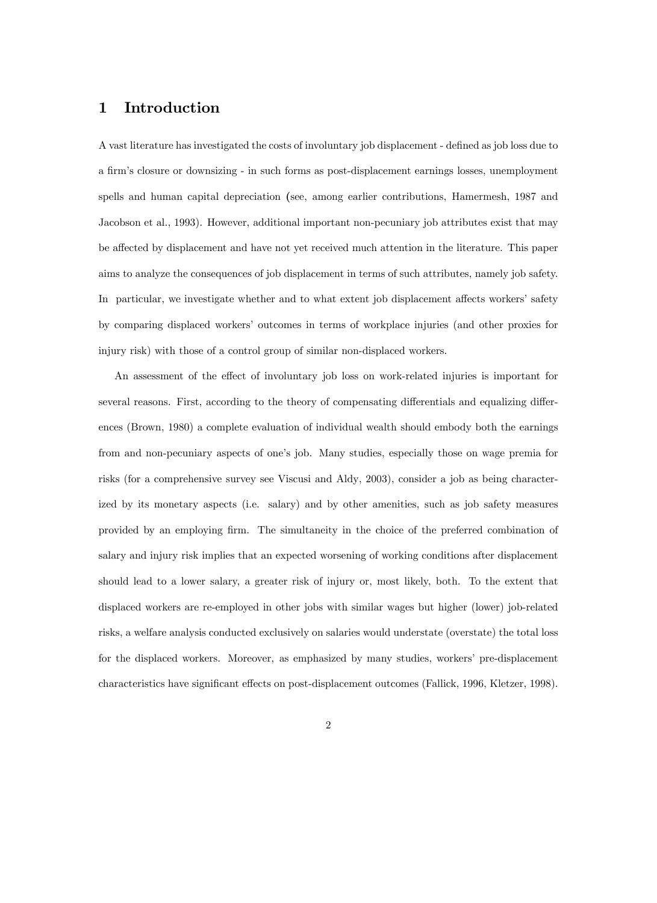#### 1 Introduction

A vast literature has investigated the costs of involuntary job displacement - defined as job loss due to a firm's closure or downsizing - in such forms as post-displacement earnings losses, unemployment spells and human capital depreciation (see, among earlier contributions, Hamermesh, 1987 and Jacobson et al., 1993). However, additional important non-pecuniary job attributes exist that may be affected by displacement and have not yet received much attention in the literature. This paper aims to analyze the consequences of job displacement in terms of such attributes, namely job safety. In particular, we investigate whether and to what extent job displacement affects workers' safety by comparing displaced workers' outcomes in terms of workplace injuries (and other proxies for injury risk) with those of a control group of similar non-displaced workers.

An assessment of the effect of involuntary job loss on work-related injuries is important for several reasons. First, according to the theory of compensating differentials and equalizing differences (Brown, 1980) a complete evaluation of individual wealth should embody both the earnings from and non-pecuniary aspects of one's job. Many studies, especially those on wage premia for risks (for a comprehensive survey see Viscusi and Aldy, 2003), consider a job as being characterized by its monetary aspects (i.e. salary) and by other amenities, such as job safety measures provided by an employing Örm. The simultaneity in the choice of the preferred combination of salary and injury risk implies that an expected worsening of working conditions after displacement should lead to a lower salary, a greater risk of injury or, most likely, both. To the extent that displaced workers are re-employed in other jobs with similar wages but higher (lower) job-related risks, a welfare analysis conducted exclusively on salaries would understate (overstate) the total loss for the displaced workers. Moreover, as emphasized by many studies, workers' pre-displacement characteristics have significant effects on post-displacement outcomes (Fallick, 1996, Kletzer, 1998).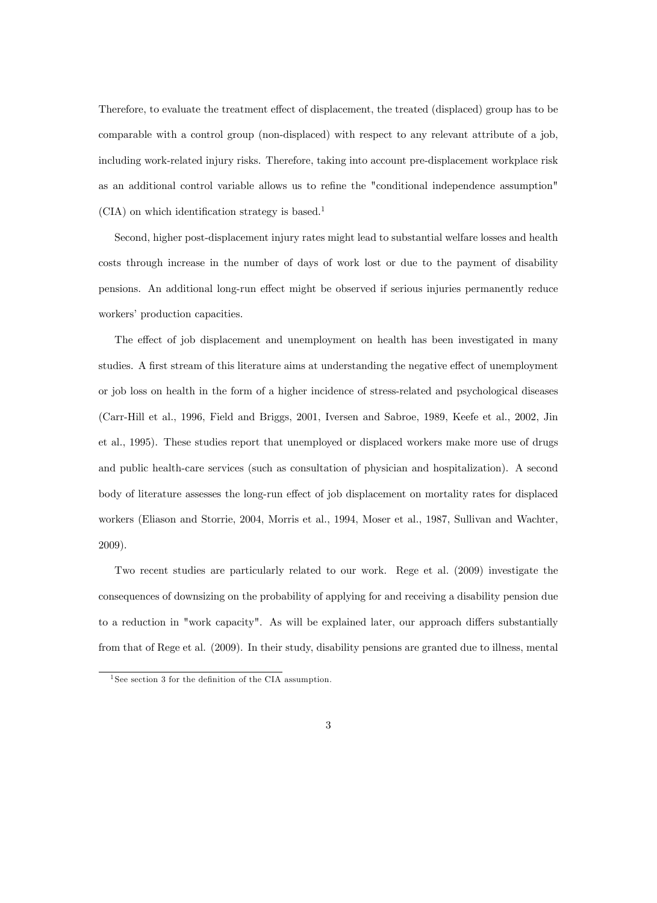Therefore, to evaluate the treatment effect of displacement, the treated (displaced) group has to be comparable with a control group (non-displaced) with respect to any relevant attribute of a job, including work-related injury risks. Therefore, taking into account pre-displacement workplace risk as an additional control variable allows us to refine the "conditional independence assumption"  $(CIA)$  on which identification strategy is based.<sup>1</sup>

Second, higher post-displacement injury rates might lead to substantial welfare losses and health costs through increase in the number of days of work lost or due to the payment of disability pensions. An additional long-run effect might be observed if serious injuries permanently reduce workers' production capacities.

The effect of job displacement and unemployment on health has been investigated in many studies. A first stream of this literature aims at understanding the negative effect of unemployment or job loss on health in the form of a higher incidence of stress-related and psychological diseases (Carr-Hill et al., 1996, Field and Briggs, 2001, Iversen and Sabroe, 1989, Keefe et al., 2002, Jin et al., 1995). These studies report that unemployed or displaced workers make more use of drugs and public health-care services (such as consultation of physician and hospitalization). A second body of literature assesses the long-run effect of job displacement on mortality rates for displaced workers (Eliason and Storrie, 2004, Morris et al., 1994, Moser et al., 1987, Sullivan and Wachter, 2009).

Two recent studies are particularly related to our work. Rege et al. (2009) investigate the consequences of downsizing on the probability of applying for and receiving a disability pension due to a reduction in "work capacity". As will be explained later, our approach differs substantially from that of Rege et al. (2009). In their study, disability pensions are granted due to illness, mental

<sup>&</sup>lt;sup>1</sup> See section 3 for the definition of the CIA assumption.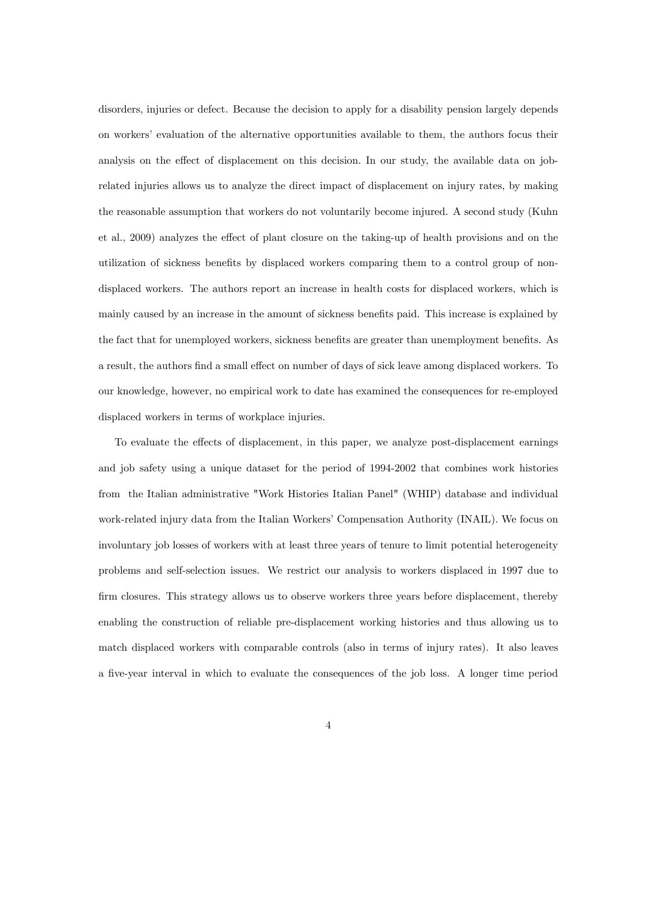disorders, injuries or defect. Because the decision to apply for a disability pension largely depends on workersí evaluation of the alternative opportunities available to them, the authors focus their analysis on the effect of displacement on this decision. In our study, the available data on jobrelated injuries allows us to analyze the direct impact of displacement on injury rates, by making the reasonable assumption that workers do not voluntarily become injured. A second study (Kuhn et al., 2009) analyzes the effect of plant closure on the taking-up of health provisions and on the utilization of sickness benefits by displaced workers comparing them to a control group of nondisplaced workers. The authors report an increase in health costs for displaced workers, which is mainly caused by an increase in the amount of sickness benefits paid. This increase is explained by the fact that for unemployed workers, sickness benefits are greater than unemployment benefits. As a result, the authors find a small effect on number of days of sick leave among displaced workers. To our knowledge, however, no empirical work to date has examined the consequences for re-employed displaced workers in terms of workplace injuries.

To evaluate the effects of displacement, in this paper, we analyze post-displacement earnings and job safety using a unique dataset for the period of 1994-2002 that combines work histories from the Italian administrative "Work Histories Italian Panel" (WHIP) database and individual work-related injury data from the Italian Workers' Compensation Authority (INAIL). We focus on involuntary job losses of workers with at least three years of tenure to limit potential heterogeneity problems and self-selection issues. We restrict our analysis to workers displaced in 1997 due to firm closures. This strategy allows us to observe workers three years before displacement, thereby enabling the construction of reliable pre-displacement working histories and thus allowing us to match displaced workers with comparable controls (also in terms of injury rates). It also leaves a Öve-year interval in which to evaluate the consequences of the job loss. A longer time period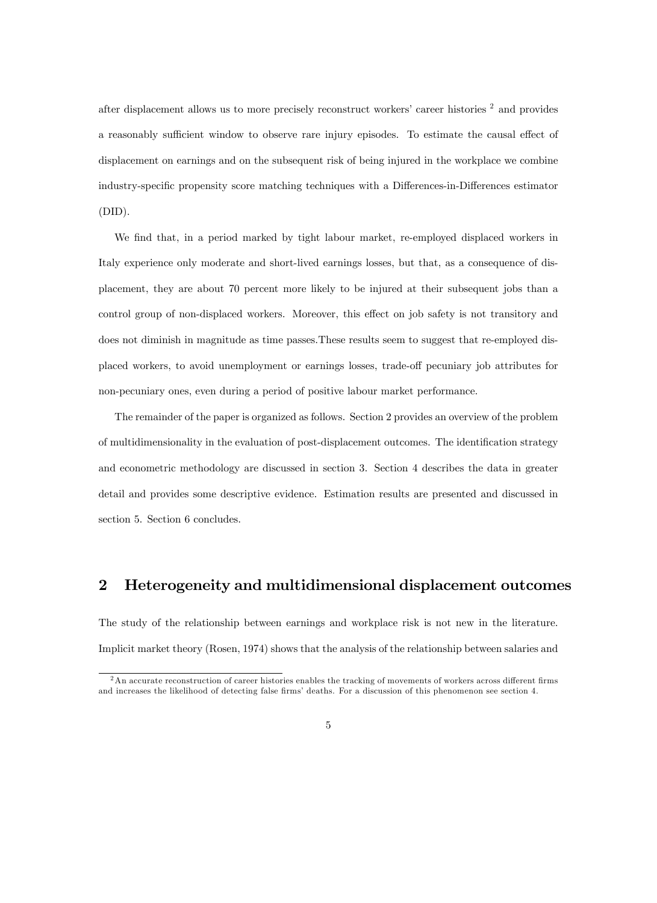after displacement allows us to more precisely reconstruct workers' career histories  $2$  and provides a reasonably sufficient window to observe rare injury episodes. To estimate the causal effect of displacement on earnings and on the subsequent risk of being injured in the workplace we combine industry-specific propensity score matching techniques with a Differences-in-Differences estimator (DID).

We find that, in a period marked by tight labour market, re-employed displaced workers in Italy experience only moderate and short-lived earnings losses, but that, as a consequence of displacement, they are about 70 percent more likely to be injured at their subsequent jobs than a control group of non-displaced workers. Moreover, this effect on job safety is not transitory and does not diminish in magnitude as time passes.These results seem to suggest that re-employed displaced workers, to avoid unemployment or earnings losses, trade-off pecuniary job attributes for non-pecuniary ones, even during a period of positive labour market performance.

The remainder of the paper is organized as follows. Section 2 provides an overview of the problem of multidimensionality in the evaluation of post-displacement outcomes. The identification strategy and econometric methodology are discussed in section 3. Section 4 describes the data in greater detail and provides some descriptive evidence. Estimation results are presented and discussed in section 5. Section 6 concludes.

## 2 Heterogeneity and multidimensional displacement outcomes

The study of the relationship between earnings and workplace risk is not new in the literature. Implicit market theory (Rosen, 1974) shows that the analysis of the relationship between salaries and

 $2\text{ An accurate reconstruction of career histories enables the tracking of movements of workers across different firms}$ and increases the likelihood of detecting false firms' deaths. For a discussion of this phenomenon see section 4.

<sup>5</sup>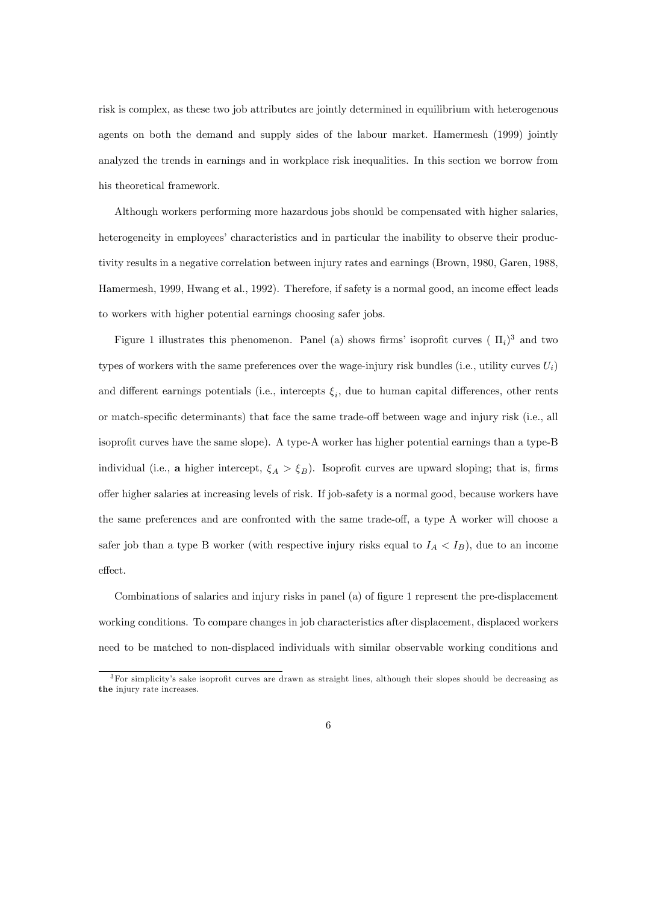risk is complex, as these two job attributes are jointly determined in equilibrium with heterogenous agents on both the demand and supply sides of the labour market. Hamermesh (1999) jointly analyzed the trends in earnings and in workplace risk inequalities. In this section we borrow from his theoretical framework.

Although workers performing more hazardous jobs should be compensated with higher salaries, heterogeneity in employees' characteristics and in particular the inability to observe their productivity results in a negative correlation between injury rates and earnings (Brown, 1980, Garen, 1988, Hamermesh, 1999, Hwang et al., 1992). Therefore, if safety is a normal good, an income effect leads to workers with higher potential earnings choosing safer jobs.

Figure 1 illustrates this phenomenon. Panel (a) shows firms' isoprofit curves ( $\Pi_i$ )<sup>3</sup> and two types of workers with the same preferences over the wage-injury risk bundles (i.e., utility curves  $U_i$ ) and different earnings potentials (i.e., intercepts  $\xi_i$ , due to human capital differences, other rents or match-specific determinants) that face the same trade-off between wage and injury risk (i.e., all isoprofit curves have the same slope). A type-A worker has higher potential earnings than a type-B individual (i.e., a higher intercept,  $\xi_A > \xi_B$ ). Isoprofit curves are upward sloping; that is, firms o§er higher salaries at increasing levels of risk. If job-safety is a normal good, because workers have the same preferences and are confronted with the same trade-off, a type A worker will choose a safer job than a type B worker (with respective injury risks equal to  $I_A < I_B$ ), due to an income effect.

Combinations of salaries and injury risks in panel (a) of figure 1 represent the pre-displacement working conditions. To compare changes in job characteristics after displacement, displaced workers need to be matched to non-displaced individuals with similar observable working conditions and

 $3$ For simplicity's sake isoprofit curves are drawn as straight lines, although their slopes should be decreasing as the injury rate increases.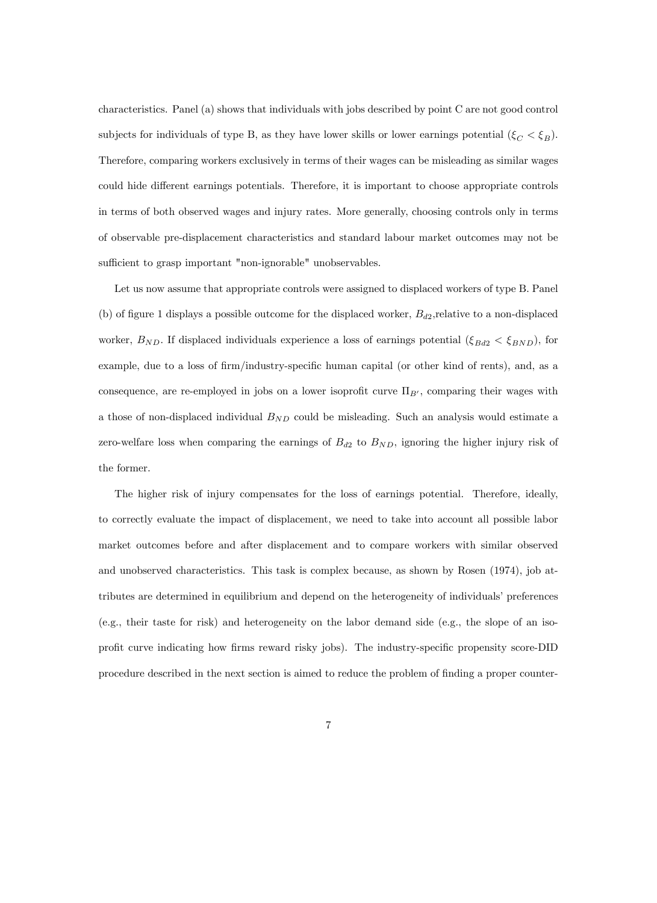characteristics. Panel (a) shows that individuals with jobs described by point C are not good control subjects for individuals of type B, as they have lower skills or lower earnings potential  $(\xi_C < \xi_B)$ . Therefore, comparing workers exclusively in terms of their wages can be misleading as similar wages could hide different earnings potentials. Therefore, it is important to choose appropriate controls in terms of both observed wages and injury rates. More generally, choosing controls only in terms of observable pre-displacement characteristics and standard labour market outcomes may not be sufficient to grasp important "non-ignorable" unobservables.

Let us now assume that appropriate controls were assigned to displaced workers of type B. Panel (b) of figure 1 displays a possible outcome for the displaced worker,  $B_{d2}$ , relative to a non-displaced worker,  $B_{ND}$ . If displaced individuals experience a loss of earnings potential  $(\xi_{Bd2} < \xi_{BND})$ , for example, due to a loss of firm/industry-specific human capital (or other kind of rents), and, as a consequence, are re-employed in jobs on a lower isoprofit curve  $\Pi_{B'}$ , comparing their wages with a those of non-displaced individual  $B_{ND}$  could be misleading. Such an analysis would estimate a zero-welfare loss when comparing the earnings of  $B_{d2}$  to  $B_{ND}$ , ignoring the higher injury risk of the former.

The higher risk of injury compensates for the loss of earnings potential. Therefore, ideally, to correctly evaluate the impact of displacement, we need to take into account all possible labor market outcomes before and after displacement and to compare workers with similar observed and unobserved characteristics. This task is complex because, as shown by Rosen (1974), job attributes are determined in equilibrium and depend on the heterogeneity of individuals' preferences (e.g., their taste for risk) and heterogeneity on the labor demand side (e.g., the slope of an isoprofit curve indicating how firms reward risky jobs). The industry-specific propensity score-DID procedure described in the next section is aimed to reduce the problem of finding a proper counter-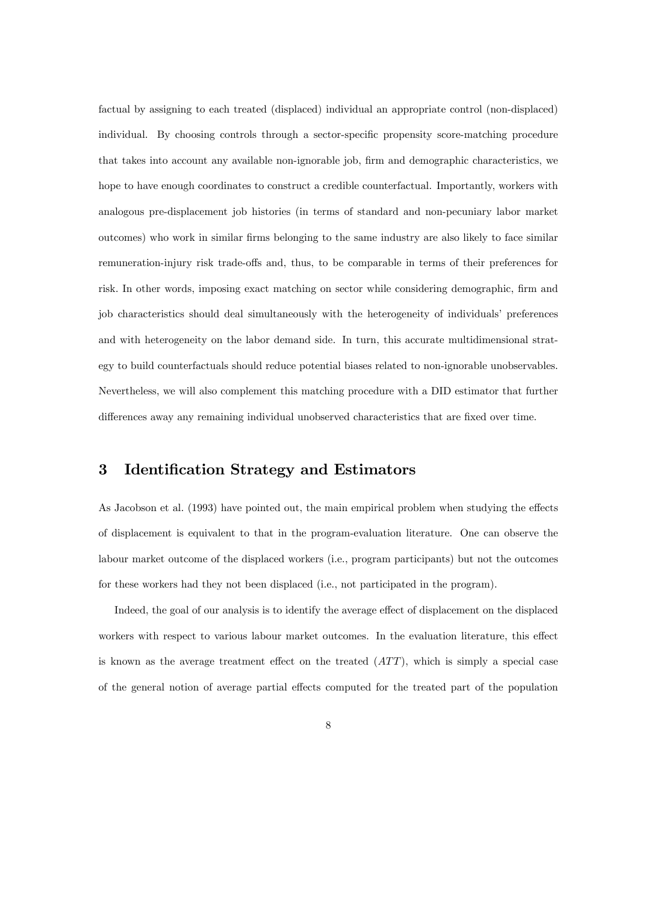factual by assigning to each treated (displaced) individual an appropriate control (non-displaced) individual. By choosing controls through a sector-specific propensity score-matching procedure that takes into account any available non-ignorable job, firm and demographic characteristics, we hope to have enough coordinates to construct a credible counterfactual. Importantly, workers with analogous pre-displacement job histories (in terms of standard and non-pecuniary labor market outcomes) who work in similar firms belonging to the same industry are also likely to face similar remuneration-injury risk trade-offs and, thus, to be comparable in terms of their preferences for risk. In other words, imposing exact matching on sector while considering demographic, firm and job characteristics should deal simultaneously with the heterogeneity of individuals' preferences and with heterogeneity on the labor demand side. In turn, this accurate multidimensional strategy to build counterfactuals should reduce potential biases related to non-ignorable unobservables. Nevertheless, we will also complement this matching procedure with a DID estimator that further differences away any remaining individual unobserved characteristics that are fixed over time.

#### 3 Identification Strategy and Estimators

As Jacobson et al. (1993) have pointed out, the main empirical problem when studying the effects of displacement is equivalent to that in the program-evaluation literature. One can observe the labour market outcome of the displaced workers (i.e., program participants) but not the outcomes for these workers had they not been displaced (i.e., not participated in the program).

Indeed, the goal of our analysis is to identify the average effect of displacement on the displaced workers with respect to various labour market outcomes. In the evaluation literature, this effect is known as the average treatment effect on the treated  $(ATT)$ , which is simply a special case of the general notion of average partial effects computed for the treated part of the population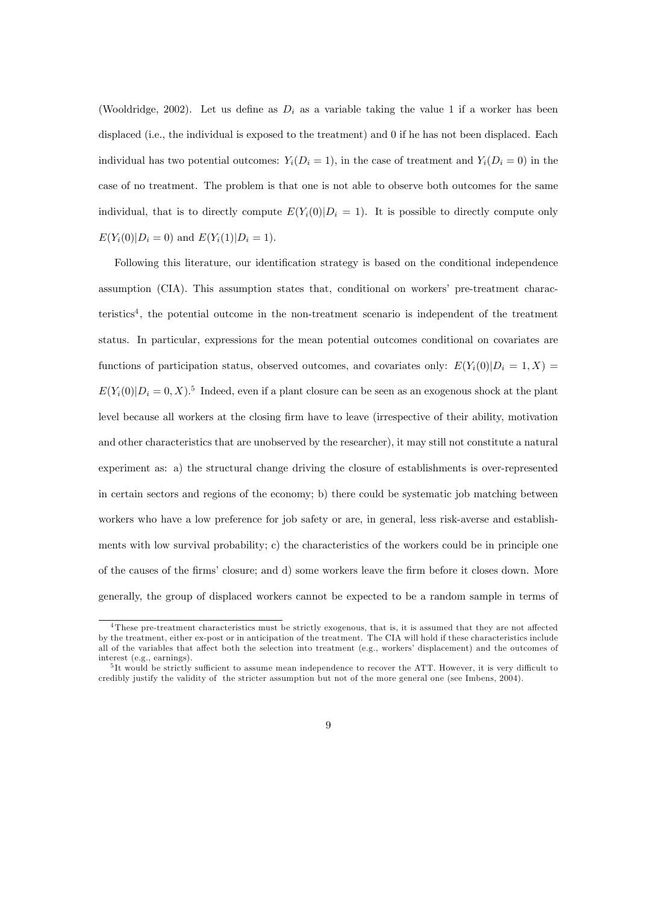(Wooldridge, 2002). Let us define as  $D_i$  as a variable taking the value 1 if a worker has been displaced (i.e., the individual is exposed to the treatment) and 0 if he has not been displaced. Each individual has two potential outcomes:  $Y_i(D_i = 1)$ , in the case of treatment and  $Y_i(D_i = 0)$  in the case of no treatment. The problem is that one is not able to observe both outcomes for the same individual, that is to directly compute  $E(Y_i(0)|D_i = 1)$ . It is possible to directly compute only  $E(Y_i(0)|D_i = 0)$  and  $E(Y_i(1)|D_i = 1)$ .

Following this literature, our identification strategy is based on the conditional independence assumption (CIA). This assumption states that, conditional on workers' pre-treatment characteristics<sup>4</sup>, the potential outcome in the non-treatment scenario is independent of the treatment status. In particular, expressions for the mean potential outcomes conditional on covariates are functions of participation status, observed outcomes, and covariates only:  $E(Y_i(0)|D_i = 1, X) =$  $E(Y_i(0)|D_i = 0, X)$ .<sup>5</sup> Indeed, even if a plant closure can be seen as an exogenous shock at the plant level because all workers at the closing firm have to leave (irrespective of their ability, motivation and other characteristics that are unobserved by the researcher), it may still not constitute a natural experiment as: a) the structural change driving the closure of establishments is over-represented in certain sectors and regions of the economy; b) there could be systematic job matching between workers who have a low preference for job safety or are, in general, less risk-averse and establishments with low survival probability; c) the characteristics of the workers could be in principle one of the causes of the firms' closure; and d) some workers leave the firm before it closes down. More generally, the group of displaced workers cannot be expected to be a random sample in terms of

 $4$ These pre-treatment characteristics must be strictly exogenous, that is, it is assumed that they are not affected by the treatment, either ex-post or in anticipation of the treatment. The CIA will hold if these characteristics include all of the variables that affect both the selection into treatment (e.g., workers' displacement) and the outcomes of interest (e.g., earnings).

 $5$ It would be strictly sufficient to assume mean independence to recover the ATT. However, it is very difficult to credibly justify the validity of the stricter assumption but not of the more general one (see Imbens, 2004).

<sup>9</sup>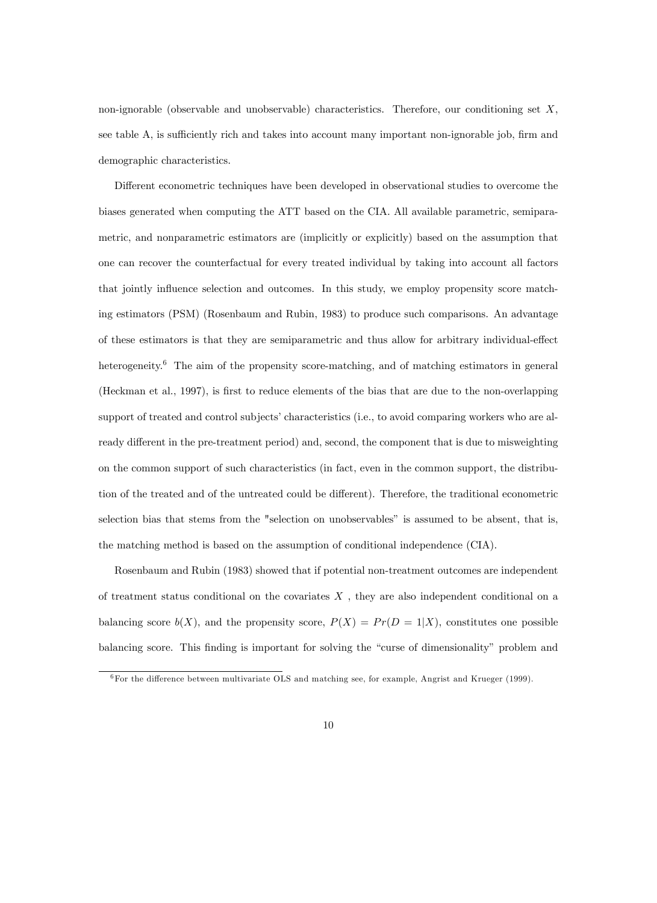non-ignorable (observable and unobservable) characteristics. Therefore, our conditioning set X, see table A, is sufficiently rich and takes into account many important non-ignorable job, firm and demographic characteristics.

Different econometric techniques have been developed in observational studies to overcome the biases generated when computing the ATT based on the CIA. All available parametric, semiparametric, and nonparametric estimators are (implicitly or explicitly) based on the assumption that one can recover the counterfactual for every treated individual by taking into account all factors that jointly influence selection and outcomes. In this study, we employ propensity score matching estimators (PSM) (Rosenbaum and Rubin, 1983) to produce such comparisons. An advantage of these estimators is that they are semiparametric and thus allow for arbitrary individual-effect heterogeneity.<sup>6</sup> The aim of the propensity score-matching, and of matching estimators in general (Heckman et al., 1997), is first to reduce elements of the bias that are due to the non-overlapping support of treated and control subjects' characteristics (i.e., to avoid comparing workers who are already different in the pre-treatment period) and, second, the component that is due to misweighting on the common support of such characteristics (in fact, even in the common support, the distribution of the treated and of the untreated could be different). Therefore, the traditional econometric selection bias that stems from the "selection on unobservables" is assumed to be absent, that is, the matching method is based on the assumption of conditional independence (CIA).

Rosenbaum and Rubin (1983) showed that if potential non-treatment outcomes are independent of treatment status conditional on the covariates  $X$ , they are also independent conditional on a balancing score  $b(X)$ , and the propensity score,  $P(X) = Pr(D = 1|X)$ , constitutes one possible balancing score. This finding is important for solving the "curse of dimensionality" problem and

 $\overline{6}$  For the difference between multivariate OLS and matching see, for example, Angrist and Krueger (1999).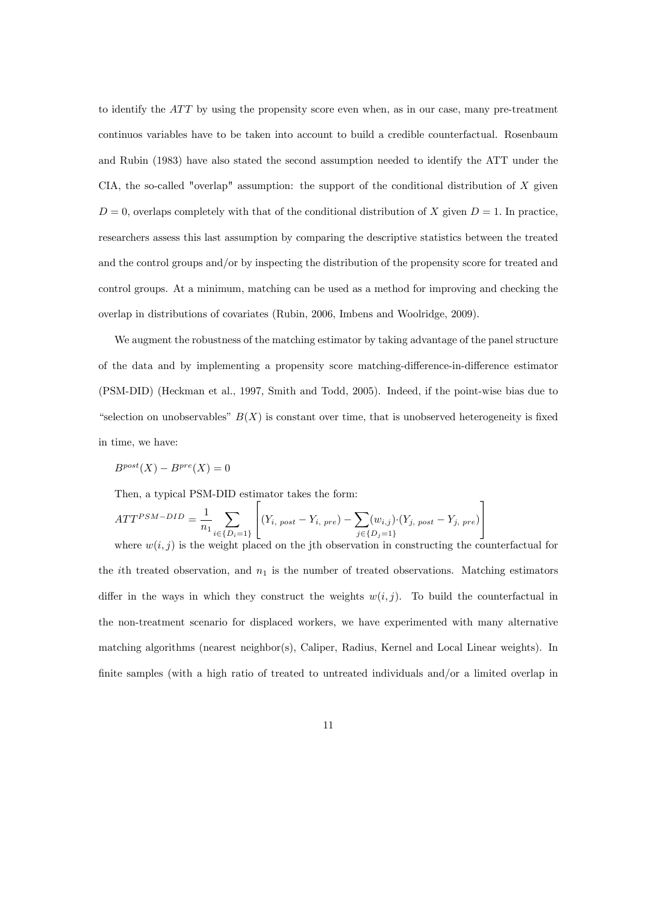to identify the  $ATT$  by using the propensity score even when, as in our case, many pre-treatment continuos variables have to be taken into account to build a credible counterfactual. Rosenbaum and Rubin (1983) have also stated the second assumption needed to identify the ATT under the CIA, the so-called "overlap" assumption: the support of the conditional distribution of  $X$  given  $D = 0$ , overlaps completely with that of the conditional distribution of X given  $D = 1$ . In practice, researchers assess this last assumption by comparing the descriptive statistics between the treated and the control groups and/or by inspecting the distribution of the propensity score for treated and control groups. At a minimum, matching can be used as a method for improving and checking the overlap in distributions of covariates (Rubin, 2006, Imbens and Woolridge, 2009).

We augment the robustness of the matching estimator by taking advantage of the panel structure of the data and by implementing a propensity score matching-difference-in-difference estimator (PSM-DID) (Heckman et al., 1997, Smith and Todd, 2005). Indeed, if the point-wise bias due to "selection on unobservables"  $B(X)$  is constant over time, that is unobserved heterogeneity is fixed in time, we have:

$$
B^{post}(X) - B^{pre}(X) = 0
$$

Then, a typical PSM-DID estimator takes the form:

$$
ATT^{PSM-DID} = \frac{1}{n_1} \sum_{i \in \{D_i = 1\}} \left[ (Y_{i, \ post} - Y_{i, \ pre}) - \sum_{j \in \{D_j = 1\}} (w_{i,j}) \cdot (Y_{j, \ post} - Y_{j, \ pre}) \right]
$$

where  $w(i, j)$  is the weight placed on the jth observation in constructing the counterfactual for the *i*th treated observation, and  $n_1$  is the number of treated observations. Matching estimators differ in the ways in which they construct the weights  $w(i, j)$ . To build the counterfactual in the non-treatment scenario for displaced workers, we have experimented with many alternative matching algorithms (nearest neighbor(s), Caliper, Radius, Kernel and Local Linear weights). In finite samples (with a high ratio of treated to untreated individuals and/or a limited overlap in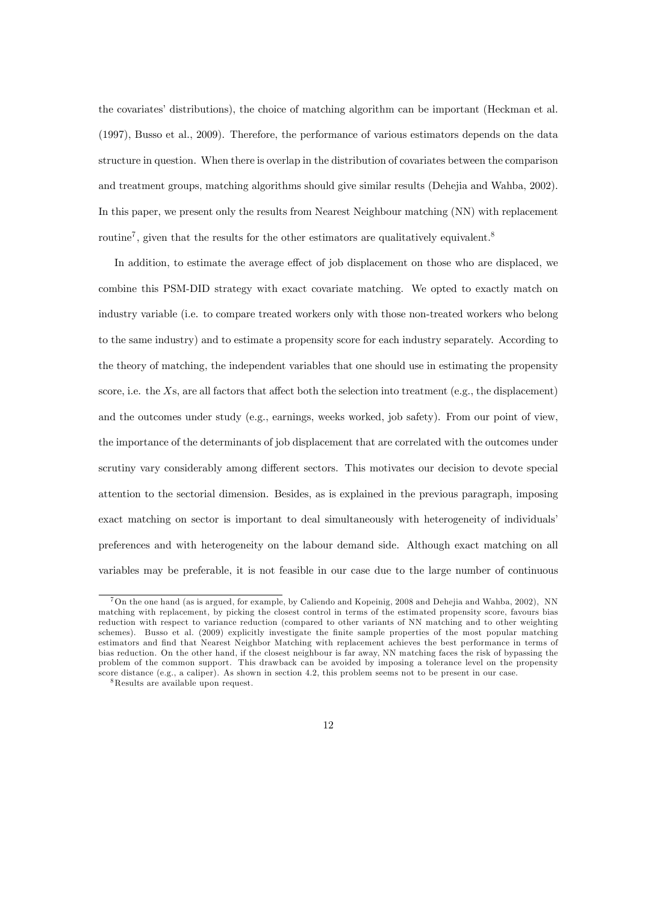the covariates' distributions), the choice of matching algorithm can be important (Heckman et al. (1997), Busso et al., 2009). Therefore, the performance of various estimators depends on the data structure in question. When there is overlap in the distribution of covariates between the comparison and treatment groups, matching algorithms should give similar results (Dehejia and Wahba, 2002). In this paper, we present only the results from Nearest Neighbour matching (NN) with replacement routine<sup>7</sup>, given that the results for the other estimators are qualitatively equivalent.<sup>8</sup>

In addition, to estimate the average effect of job displacement on those who are displaced, we combine this PSM-DID strategy with exact covariate matching. We opted to exactly match on industry variable (i.e. to compare treated workers only with those non-treated workers who belong to the same industry) and to estimate a propensity score for each industry separately. According to the theory of matching, the independent variables that one should use in estimating the propensity score, i.e. the  $X_s$ , are all factors that affect both the selection into treatment (e.g., the displacement) and the outcomes under study (e.g., earnings, weeks worked, job safety). From our point of view, the importance of the determinants of job displacement that are correlated with the outcomes under scrutiny vary considerably among different sectors. This motivates our decision to devote special attention to the sectorial dimension. Besides, as is explained in the previous paragraph, imposing exact matching on sector is important to deal simultaneously with heterogeneity of individuals' preferences and with heterogeneity on the labour demand side. Although exact matching on all variables may be preferable, it is not feasible in our case due to the large number of continuous

<sup>7</sup>On the one hand (as is argued, for example, by Caliendo and Kopeinig, 2008 and Dehejia and Wahba, 2002), NN matching with replacement, by picking the closest control in terms of the estimated propensity score, favours bias reduction with respect to variance reduction (compared to other variants of NN matching and to other weighting schemes). Busso et al. (2009) explicitly investigate the finite sample properties of the most popular matching estimators and find that Nearest Neighbor Matching with replacement achieves the best performance in terms of bias reduction. On the other hand, if the closest neighbour is far away, NN matching faces the risk of bypassing the problem of the common support. This drawback can be avoided by imposing a tolerance level on the propensity score distance (e.g., a caliper). As shown in section 4.2, this problem seems not to be present in our case.

<sup>8</sup>Results are available upon request.

<sup>12</sup>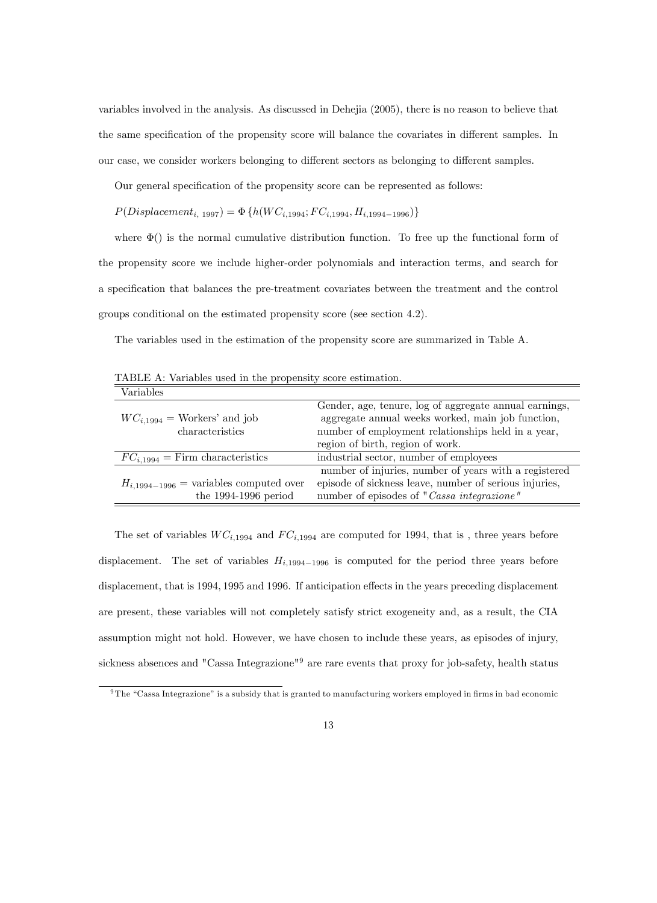variables involved in the analysis. As discussed in Dehejia (2005), there is no reason to believe that the same specification of the propensity score will balance the covariates in different samples. In our case, we consider workers belonging to different sectors as belonging to different samples.

Our general specification of the propensity score can be represented as follows:

 $P(Displacement_{i, 1997}) = \Phi\{h(WC_{i, 1994}; FC_{i, 1994}, H_{i, 1994-1996})\}$ 

where  $\Phi$ () is the normal cumulative distribution function. To free up the functional form of the propensity score we include higher-order polynomials and interaction terms, and search for a specification that balances the pre-treatment covariates between the treatment and the control groups conditional on the estimated propensity score (see section 4.2).

The variables used in the estimation of the propensity score are summarized in Table A.

| Variables                                   |                                                        |
|---------------------------------------------|--------------------------------------------------------|
|                                             | Gender, age, tenure, log of aggregate annual earnings, |
| $WC_{i.1994}$ = Workers' and job            | aggregate annual weeks worked, main job function,      |
| characteristics                             | number of employment relationships held in a year,     |
|                                             | region of birth, region of work.                       |
| $FC_{i,1994}$ = Firm characteristics        | industrial sector, number of employees                 |
|                                             | number of injuries, number of years with a registered  |
| $H_{i,1994-1996}$ = variables computed over | episode of sickness leave, number of serious injuries, |
| the $1994-1996$ period                      | number of episodes of "Cassa integrazione"             |

TABLE A: Variables used in the propensity score estimation.

The set of variables  $WC_{i,1994}$  and  $FC_{i,1994}$  are computed for 1994, that is, three years before displacement. The set of variables  $H_{i,1994-1996}$  is computed for the period three years before displacement, that is 1994, 1995 and 1996. If anticipation effects in the years preceding displacement are present, these variables will not completely satisfy strict exogeneity and, as a result, the CIA assumption might not hold. However, we have chosen to include these years, as episodes of injury, sickness absences and "Cassa Integrazione"<sup>9</sup> are rare events that proxy for job-safety, health status

 $9$ The "Cassa Integrazione" is a subsidy that is granted to manufacturing workers employed in firms in bad economic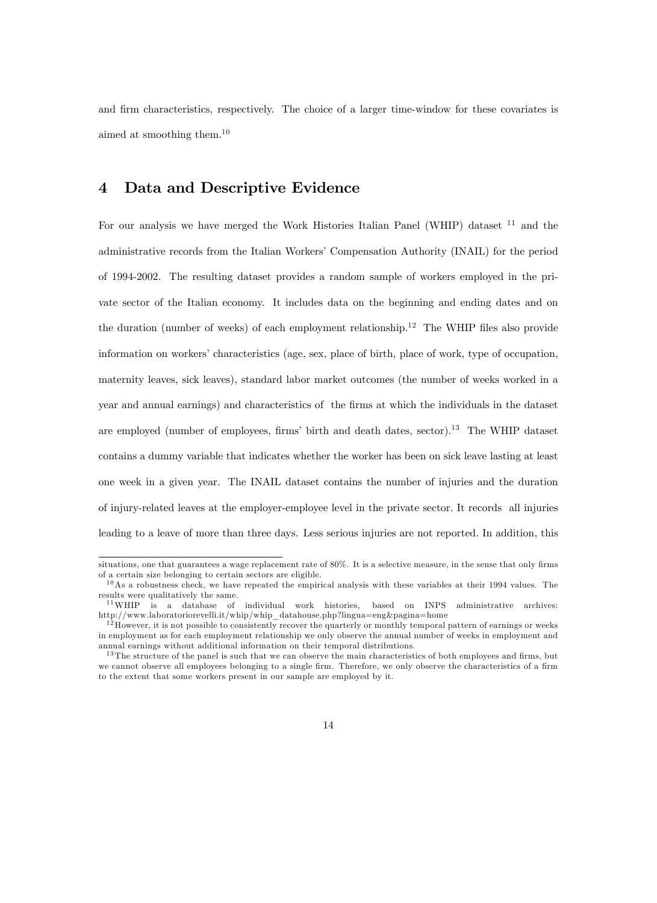and firm characteristics, respectively. The choice of a larger time-window for these covariates is aimed at smoothing them.<sup>10</sup>

#### 4 Data and Descriptive Evidence

For our analysis we have merged the Work Histories Italian Panel (WHIP) dataset  $^{11}$  and the administrative records from the Italian Workers' Compensation Authority (INAIL) for the period of 1994-2002. The resulting dataset provides a random sample of workers employed in the private sector of the Italian economy. It includes data on the beginning and ending dates and on the duration (number of weeks) of each employment relationship.<sup>12</sup> The WHIP files also provide information on workers' characteristics (age, sex, place of birth, place of work, type of occupation, maternity leaves, sick leaves), standard labor market outcomes (the number of weeks worked in a year and annual earnings) and characteristics of the firms at which the individuals in the dataset are employed (number of employees, firms' birth and death dates, sector).<sup>13</sup> The WHIP dataset contains a dummy variable that indicates whether the worker has been on sick leave lasting at least one week in a given year. The INAIL dataset contains the number of injuries and the duration of injury-related leaves at the employer-employee level in the private sector. It records all injuries leading to a leave of more than three days. Less serious injuries are not reported. In addition, this

situations, one that guarantees a wage replacement rate of 80%. It is a selective measure, in the sense that only firms of a certain size belonging to certain sectors are eligible.

 $10$ As a robustness check, we have repeated the empirical analysis with these variables at their 1994 values. The results were qualitatively the same.

<sup>1 1</sup>WHIP is a database of individual work histories, based on INPS administrative archives: http://www.laboratoriorevelli.it/whip/whip\_datahouse.php?lingua=eng&pagina=home

 $1<sup>12</sup>$  However, it is not possible to consistently recover the quarterly or monthly temporal pattern of earnings or weeks in employment as for each employment relationship we only observe the annual number of weeks in employment and annual earnings without additional information on their temporal distributions.

 $13$  The structure of the panel is such that we can observe the main characteristics of both employees and firms, but we cannot observe all employees belonging to a single firm. Therefore, we only observe the characteristics of a firm to the extent that some workers present in our sample are employed by it.

<sup>14</sup>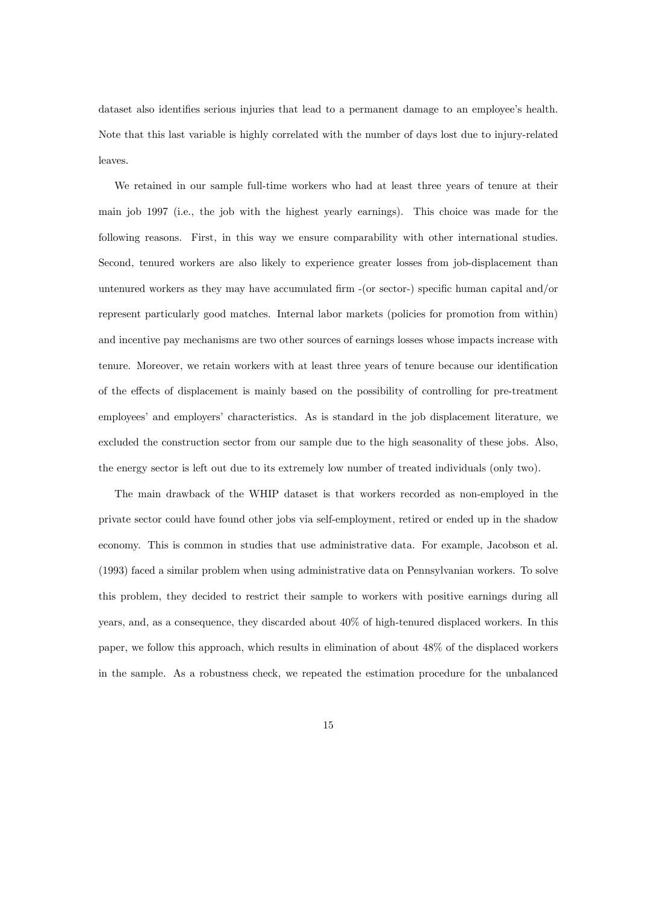dataset also identifies serious injuries that lead to a permanent damage to an employee's health. Note that this last variable is highly correlated with the number of days lost due to injury-related leaves.

We retained in our sample full-time workers who had at least three years of tenure at their main job 1997 (i.e., the job with the highest yearly earnings). This choice was made for the following reasons. First, in this way we ensure comparability with other international studies. Second, tenured workers are also likely to experience greater losses from job-displacement than untenured workers as they may have accumulated firm  $-$  (or sector-) specific human capital and/or represent particularly good matches. Internal labor markets (policies for promotion from within) and incentive pay mechanisms are two other sources of earnings losses whose impacts increase with tenure. Moreover, we retain workers with at least three years of tenure because our identification of the effects of displacement is mainly based on the possibility of controlling for pre-treatment employees' and employers' characteristics. As is standard in the job displacement literature, we excluded the construction sector from our sample due to the high seasonality of these jobs. Also, the energy sector is left out due to its extremely low number of treated individuals (only two).

The main drawback of the WHIP dataset is that workers recorded as non-employed in the private sector could have found other jobs via self-employment, retired or ended up in the shadow economy. This is common in studies that use administrative data. For example, Jacobson et al. (1993) faced a similar problem when using administrative data on Pennsylvanian workers. To solve this problem, they decided to restrict their sample to workers with positive earnings during all years, and, as a consequence, they discarded about 40% of high-tenured displaced workers. In this paper, we follow this approach, which results in elimination of about 48% of the displaced workers in the sample. As a robustness check, we repeated the estimation procedure for the unbalanced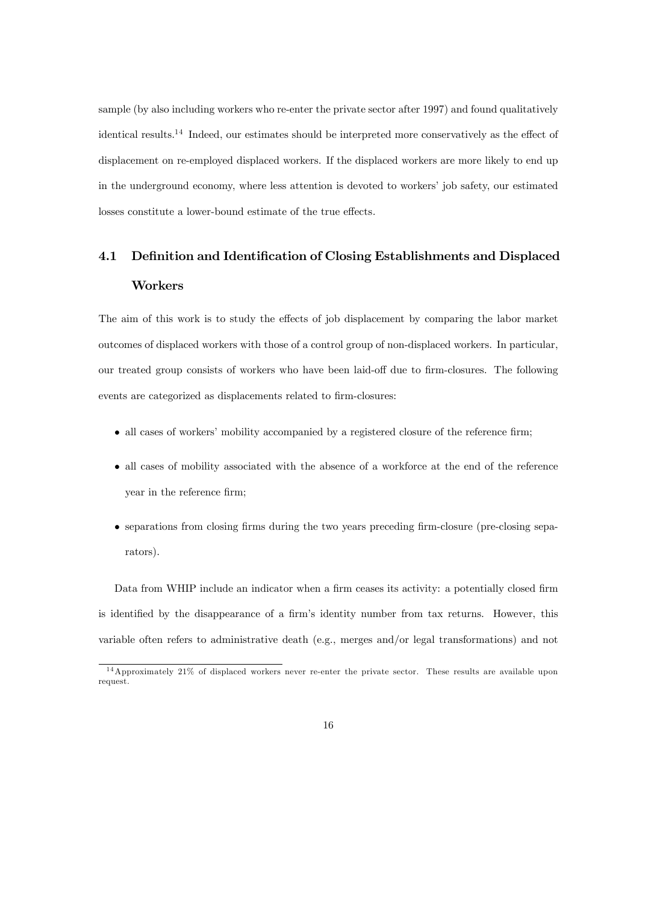sample (by also including workers who re-enter the private sector after 1997) and found qualitatively identical results.<sup>14</sup> Indeed, our estimates should be interpreted more conservatively as the effect of displacement on re-employed displaced workers. If the displaced workers are more likely to end up in the underground economy, where less attention is devoted to workers' job safety, our estimated losses constitute a lower-bound estimate of the true effects.

## 4.1 Definition and Identification of Closing Establishments and Displaced Workers

The aim of this work is to study the effects of job displacement by comparing the labor market outcomes of displaced workers with those of a control group of non-displaced workers. In particular, our treated group consists of workers who have been laid-off due to firm-closures. The following events are categorized as displacements related to firm-closures:

- $\bullet$  all cases of workers' mobility accompanied by a registered closure of the reference firm;
- all cases of mobility associated with the absence of a workforce at the end of the reference year in the reference firm;
- separations from closing Örms during the two years preceding Örm-closure (pre-closing separators).

Data from WHIP include an indicator when a firm ceases its activity: a potentially closed firm is identified by the disappearance of a firm's identity number from tax returns. However, this variable often refers to administrative death (e.g., merges and/or legal transformations) and not

<sup>1 4</sup>Approximately 21% of displaced workers never re-enter the private sector. These results are available upon request.

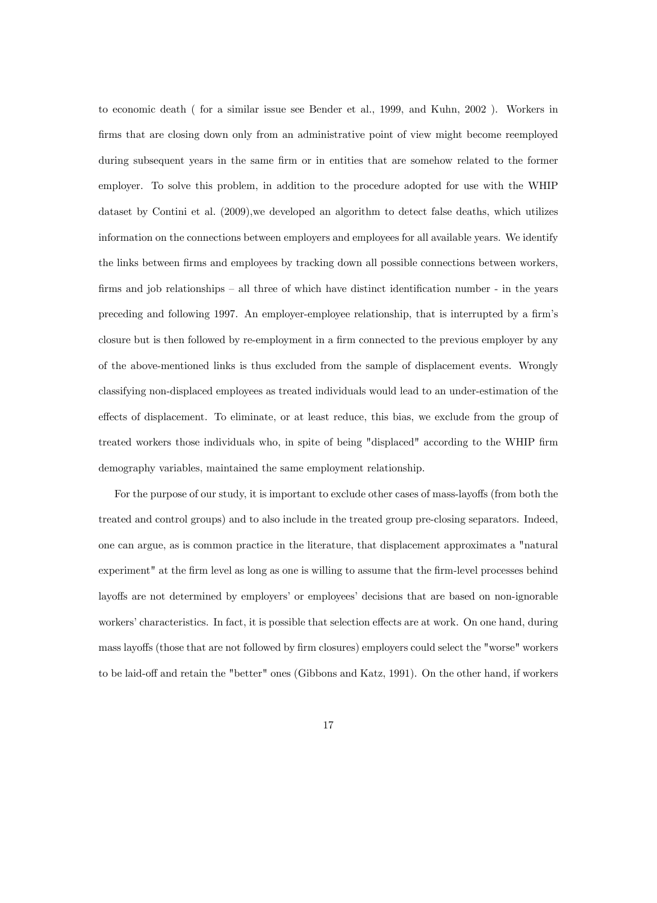to economic death ( for a similar issue see Bender et al., 1999, and Kuhn, 2002 ). Workers in firms that are closing down only from an administrative point of view might become reemployed during subsequent years in the same firm or in entities that are somehow related to the former employer. To solve this problem, in addition to the procedure adopted for use with the WHIP dataset by Contini et al. (2009),we developed an algorithm to detect false deaths, which utilizes information on the connections between employers and employees for all available years. We identify the links between firms and employees by tracking down all possible connections between workers, firms and job relationships  $\overline{\phantom{a}}$  all three of which have distinct identification number - in the years preceding and following 1997. An employer-employee relationship, that is interrupted by a firm's closure but is then followed by re-employment in a firm connected to the previous employer by any of the above-mentioned links is thus excluded from the sample of displacement events. Wrongly classifying non-displaced employees as treated individuals would lead to an under-estimation of the effects of displacement. To eliminate, or at least reduce, this bias, we exclude from the group of treated workers those individuals who, in spite of being "displaced" according to the WHIP firm demography variables, maintained the same employment relationship.

For the purpose of our study, it is important to exclude other cases of mass-layoffs (from both the treated and control groups) and to also include in the treated group pre-closing separators. Indeed, one can argue, as is common practice in the literature, that displacement approximates a "natural experiment" at the firm level as long as one is willing to assume that the firm-level processes behind layoffs are not determined by employers' or employees' decisions that are based on non-ignorable workers' characteristics. In fact, it is possible that selection effects are at work. On one hand, during mass layoffs (those that are not followed by firm closures) employers could select the "worse" workers to be laid-off and retain the "better" ones (Gibbons and Katz, 1991). On the other hand, if workers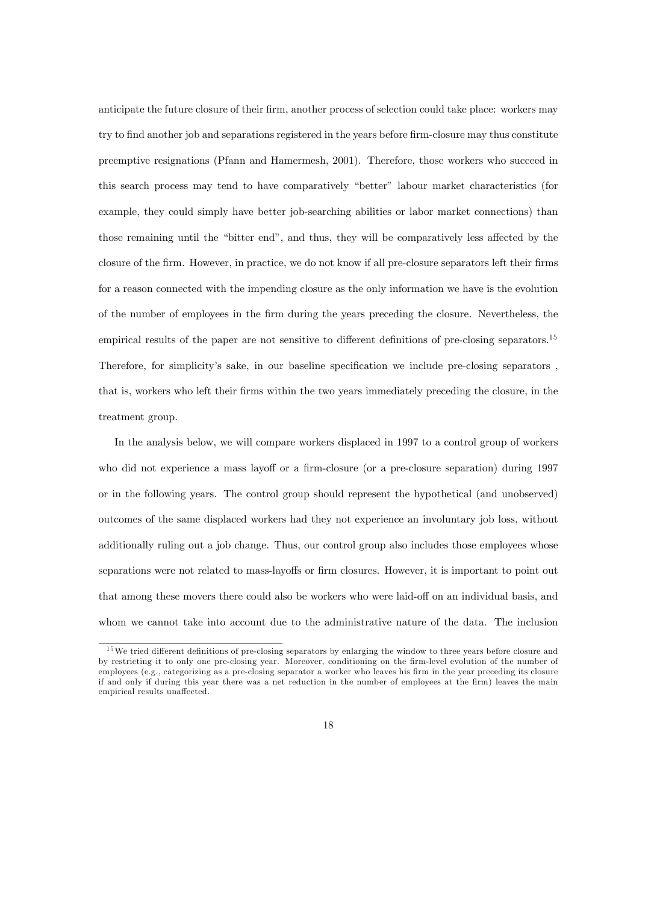anticipate the future closure of their firm, another process of selection could take place: workers may try to find another job and separations registered in the years before firm-closure may thus constitute preemptive resignations (Pfann and Hamermesh, 2001). Therefore, those workers who succeed in this search process may tend to have comparatively "better" labour market characteristics (for example, they could simply have better job-searching abilities or labor market connections) than those remaining until the "bitter end", and thus, they will be comparatively less affected by the closure of the firm. However, in practice, we do not know if all pre-closure separators left their firms for a reason connected with the impending closure as the only information we have is the evolution of the number of employees in the Örm during the years preceding the closure. Nevertheless, the empirical results of the paper are not sensitive to different definitions of pre-closing separators.<sup>15</sup> Therefore, for simplicity's sake, in our baseline specification we include pre-closing separators, that is, workers who left their Örms within the two years immediately preceding the closure, in the treatment group.

In the analysis below, we will compare workers displaced in 1997 to a control group of workers who did not experience a mass layoff or a firm-closure (or a pre-closure separation) during 1997 or in the following years. The control group should represent the hypothetical (and unobserved) outcomes of the same displaced workers had they not experience an involuntary job loss, without additionally ruling out a job change. Thus, our control group also includes those employees whose separations were not related to mass-layoffs or firm closures. However, it is important to point out that among these movers there could also be workers who were laid-off on an individual basis, and whom we cannot take into account due to the administrative nature of the data. The inclusion

<sup>&</sup>lt;sup>15</sup>We tried different definitions of pre-closing separators by enlarging the window to three years before closure and by restricting it to only one pre-closing year. Moreover, conditioning on the firm-level evolution of the number of employees (e.g., categorizing as a pre-closing separator a worker who leaves his firm in the year preceding its closure if and only if during this year there was a net reduction in the number of employees at the firm) leaves the main empirical results unaffected.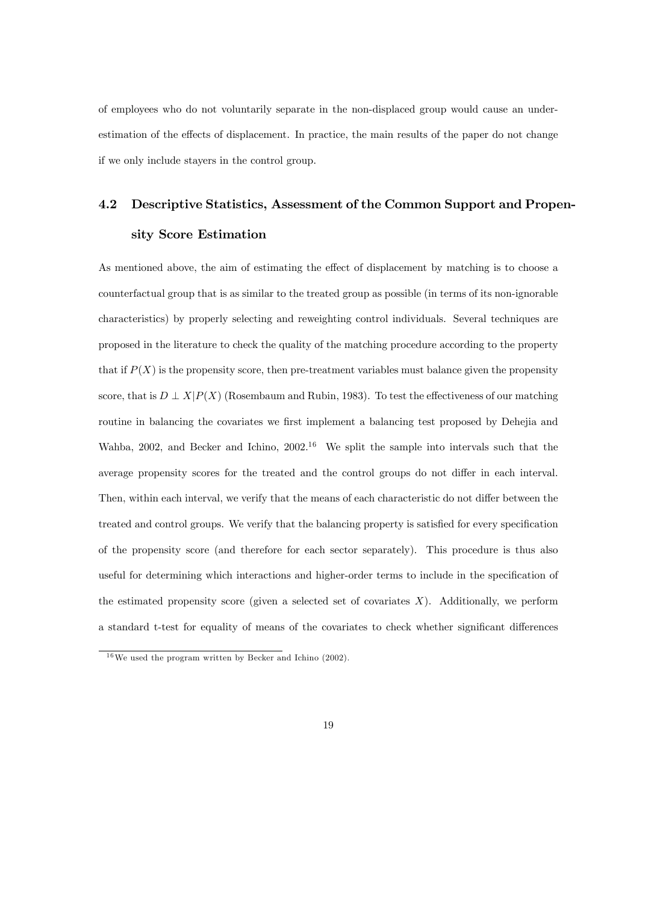of employees who do not voluntarily separate in the non-displaced group would cause an underestimation of the effects of displacement. In practice, the main results of the paper do not change if we only include stayers in the control group.

# 4.2 Descriptive Statistics, Assessment of the Common Support and Propensity Score Estimation

As mentioned above, the aim of estimating the effect of displacement by matching is to choose a counterfactual group that is as similar to the treated group as possible (in terms of its non-ignorable characteristics) by properly selecting and reweighting control individuals. Several techniques are proposed in the literature to check the quality of the matching procedure according to the property that if  $P(X)$  is the propensity score, then pre-treatment variables must balance given the propensity score, that is  $D \perp X|P(X)$  (Rosembaum and Rubin, 1983). To test the effectiveness of our matching routine in balancing the covariates we first implement a balancing test proposed by Dehejia and Wahba, 2002, and Becker and Ichino, 2002.<sup>16</sup> We split the sample into intervals such that the average propensity scores for the treated and the control groups do not differ in each interval. Then, within each interval, we verify that the means of each characteristic do not differ between the treated and control groups. We verify that the balancing property is satisfied for every specification of the propensity score (and therefore for each sector separately). This procedure is thus also useful for determining which interactions and higher-order terms to include in the specification of the estimated propensity score (given a selected set of covariates  $X$ ). Additionally, we perform a standard t-test for equality of means of the covariates to check whether significant differences

 $16$ We used the program written by Becker and Ichino (2002).

<sup>19</sup>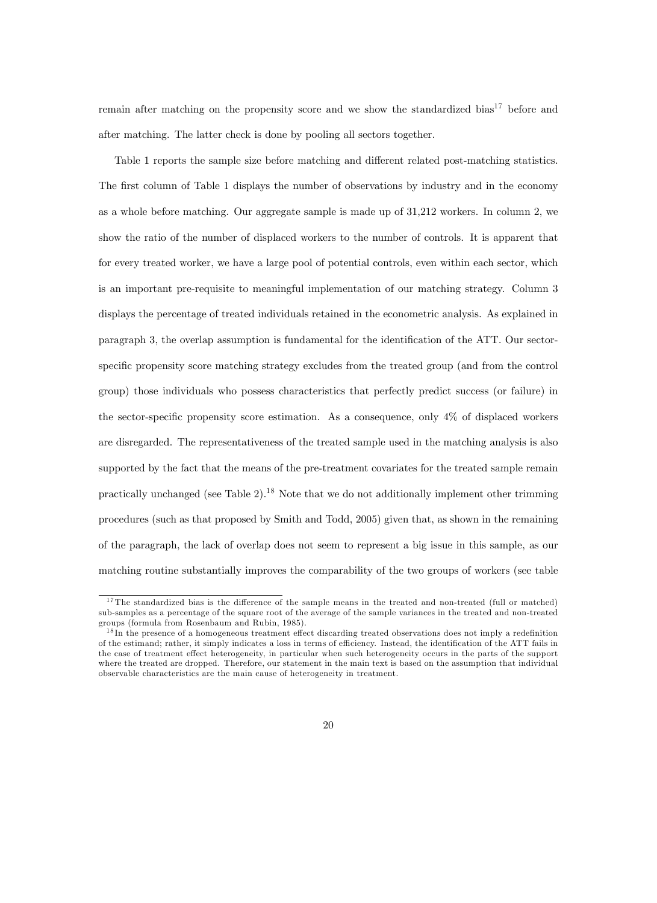remain after matching on the propensity score and we show the standardized bias<sup>17</sup> before and after matching. The latter check is done by pooling all sectors together.

Table 1 reports the sample size before matching and different related post-matching statistics. The first column of Table 1 displays the number of observations by industry and in the economy as a whole before matching. Our aggregate sample is made up of 31,212 workers. In column 2, we show the ratio of the number of displaced workers to the number of controls. It is apparent that for every treated worker, we have a large pool of potential controls, even within each sector, which is an important pre-requisite to meaningful implementation of our matching strategy. Column 3 displays the percentage of treated individuals retained in the econometric analysis. As explained in paragraph 3, the overlap assumption is fundamental for the identification of the ATT. Our sectorspecific propensity score matching strategy excludes from the treated group (and from the control group) those individuals who possess characteristics that perfectly predict success (or failure) in the sector-specific propensity score estimation. As a consequence, only  $4\%$  of displaced workers are disregarded. The representativeness of the treated sample used in the matching analysis is also supported by the fact that the means of the pre-treatment covariates for the treated sample remain practically unchanged (see Table  $2$ ).<sup>18</sup> Note that we do not additionally implement other trimming procedures (such as that proposed by Smith and Todd, 2005) given that, as shown in the remaining of the paragraph, the lack of overlap does not seem to represent a big issue in this sample, as our matching routine substantially improves the comparability of the two groups of workers (see table

 $17$ The standardized bias is the difference of the sample means in the treated and non-treated (full or matched) sub-samples as a percentage of the square root of the average of the sample variances in the treated and non-treated groups (formula from Rosenbaum and Rubin, 1985).

 $1<sup>8</sup>$  In the presence of a homogeneous treatment effect discarding treated observations does not imply a redefinition of the estimand; rather, it simply indicates a loss in terms of efficiency. Instead, the identification of the ATT fails in the case of treatment effect heterogeneity, in particular when such heterogeneity occurs in the parts of the support where the treated are dropped. Therefore, our statement in the main text is based on the assumption that individual observable characteristics are the main cause of heterogeneity in treatment.

<sup>20</sup>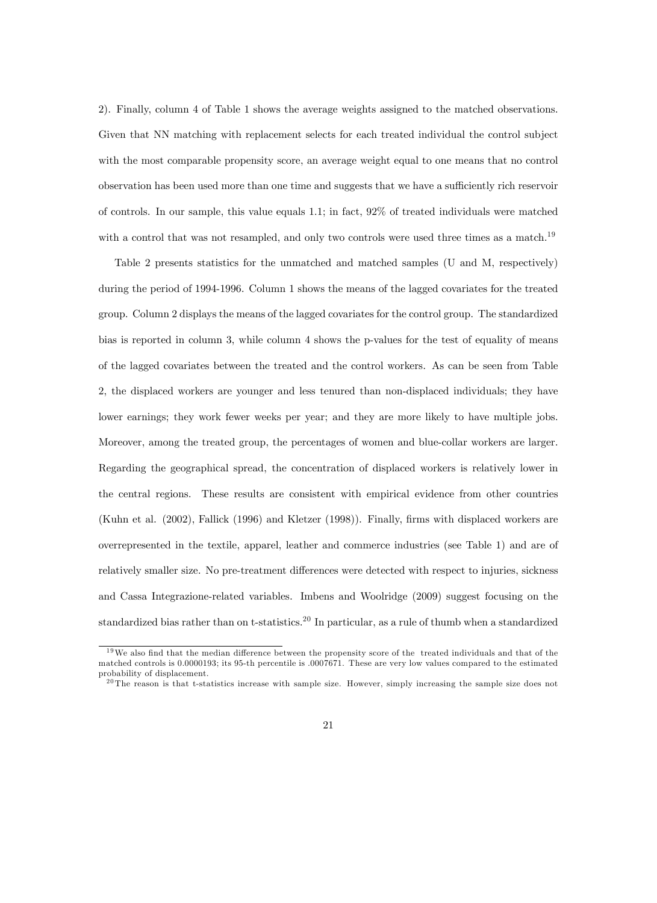2). Finally, column 4 of Table 1 shows the average weights assigned to the matched observations. Given that NN matching with replacement selects for each treated individual the control subject with the most comparable propensity score, an average weight equal to one means that no control observation has been used more than one time and suggests that we have a sufficiently rich reservoir of controls. In our sample, this value equals 1.1; in fact, 92% of treated individuals were matched with a control that was not resampled, and only two controls were used three times as a match.<sup>19</sup>

Table 2 presents statistics for the unmatched and matched samples (U and M, respectively) during the period of 1994-1996. Column 1 shows the means of the lagged covariates for the treated group. Column 2 displays the means of the lagged covariates for the control group. The standardized bias is reported in column 3, while column 4 shows the p-values for the test of equality of means of the lagged covariates between the treated and the control workers. As can be seen from Table 2, the displaced workers are younger and less tenured than non-displaced individuals; they have lower earnings; they work fewer weeks per year; and they are more likely to have multiple jobs. Moreover, among the treated group, the percentages of women and blue-collar workers are larger. Regarding the geographical spread, the concentration of displaced workers is relatively lower in the central regions. These results are consistent with empirical evidence from other countries (Kuhn et al. (2002), Fallick (1996) and Kletzer (1998)). Finally, firms with displaced workers are overrepresented in the textile, apparel, leather and commerce industries (see Table 1) and are of relatively smaller size. No pre-treatment differences were detected with respect to injuries, sickness and Cassa Integrazione-related variables. Imbens and Woolridge (2009) suggest focusing on the standardized bias rather than on t-statistics.<sup>20</sup> In particular, as a rule of thumb when a standardized

 $19\,\text{We}$  also find that the median difference between the propensity score of the treated individuals and that of the matched controls is 0.0000193; its 95-th percentile is .0007671. These are very low values compared to the estimated probability of displacement.

<sup>&</sup>lt;sup>20</sup> The reason is that t-statistics increase with sample size. However, simply increasing the sample size does not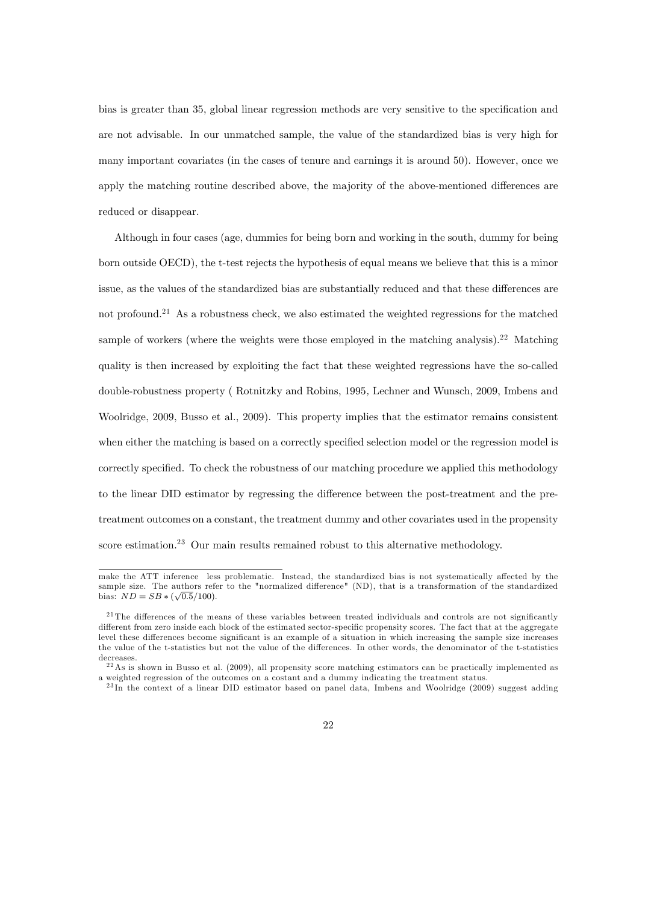bias is greater than 35, global linear regression methods are very sensitive to the specification and are not advisable. In our unmatched sample, the value of the standardized bias is very high for many important covariates (in the cases of tenure and earnings it is around 50). However, once we apply the matching routine described above, the majority of the above-mentioned differences are reduced or disappear.

Although in four cases (age, dummies for being born and working in the south, dummy for being born outside OECD), the t-test rejects the hypothesis of equal means we believe that this is a minor issue, as the values of the standardized bias are substantially reduced and that these differences are not profound.<sup>21</sup> As a robustness check, we also estimated the weighted regressions for the matched sample of workers (where the weights were those employed in the matching analysis).<sup>22</sup> Matching quality is then increased by exploiting the fact that these weighted regressions have the so-called double-robustness property ( Rotnitzky and Robins, 1995, Lechner and Wunsch, 2009, Imbens and Woolridge, 2009, Busso et al., 2009). This property implies that the estimator remains consistent when either the matching is based on a correctly specified selection model or the regression model is correctly specified. To check the robustness of our matching procedure we applied this methodology to the linear DID estimator by regressing the difference between the post-treatment and the pretreatment outcomes on a constant, the treatment dummy and other covariates used in the propensity score estimation.<sup>23</sup> Our main results remained robust to this alternative methodology.

make the ATT inference less problematic. Instead, the standardized bias is not systematically affected by the sample size. The authors refer to the "normalized difference" (ND), that is a transformation of the standardized bias:  $ND = SB * (\sqrt{0.5}/100)$ .

 $^{21}$ The differences of the means of these variables between treated individuals and controls are not significantly different from zero inside each block of the estimated sector-specific propensity scores. The fact that at the aggregate level these differences become significant is an example of a situation in which increasing the sample size increases the value of the t-statistics but not the value of the differences. In other words, the denominator of the t-statistics decreases.

 $^{22}$ As is shown in Busso et al. (2009), all propensity score matching estimators can be practically implemented as a weighted regression of the outcomes on a costant and a dummy indicating the treatment status.

<sup>&</sup>lt;sup>23</sup>In the context of a linear DID estimator based on panel data, Imbens and Woolridge (2009) suggest adding

<sup>22</sup>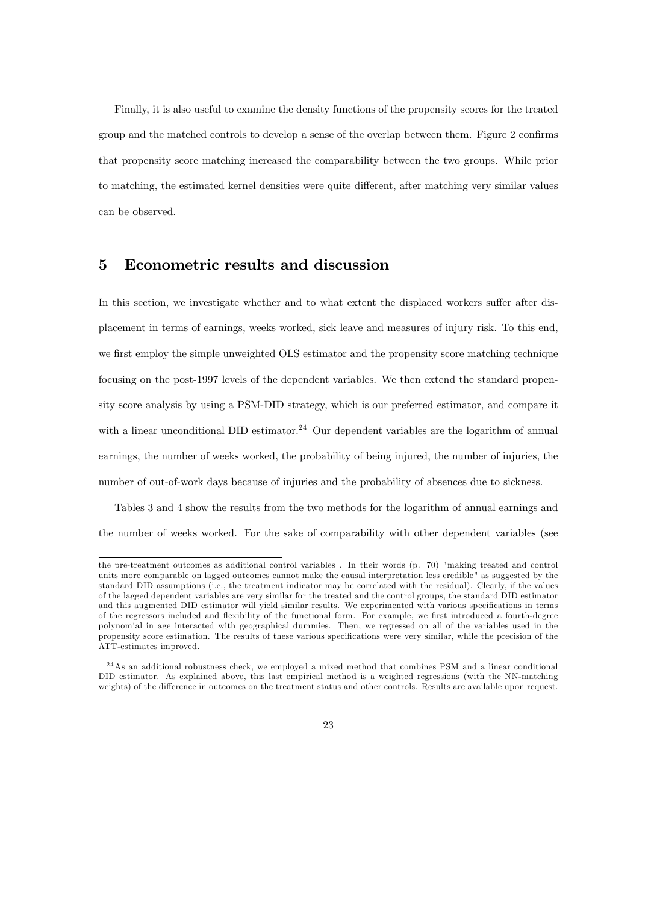Finally, it is also useful to examine the density functions of the propensity scores for the treated group and the matched controls to develop a sense of the overlap between them. Figure 2 confirms that propensity score matching increased the comparability between the two groups. While prior to matching, the estimated kernel densities were quite different, after matching very similar values can be observed.

### 5 Econometric results and discussion

In this section, we investigate whether and to what extent the displaced workers suffer after displacement in terms of earnings, weeks worked, sick leave and measures of injury risk. To this end, we first employ the simple unweighted OLS estimator and the propensity score matching technique focusing on the post-1997 levels of the dependent variables. We then extend the standard propensity score analysis by using a PSM-DID strategy, which is our preferred estimator, and compare it with a linear unconditional DID estimator.<sup>24</sup> Our dependent variables are the logarithm of annual earnings, the number of weeks worked, the probability of being injured, the number of injuries, the number of out-of-work days because of injuries and the probability of absences due to sickness.

Tables 3 and 4 show the results from the two methods for the logarithm of annual earnings and the number of weeks worked. For the sake of comparability with other dependent variables (see

the pre-treatment outcomes as additional control variables . In their words (p. 70) "making treated and control units more comparable on lagged outcomes cannot make the causal interpretation less credible" as suggested by the standard DID assumptions (i.e., the treatment indicator may be correlated with the residual). Clearly, if the values of the lagged dependent variables are very similar for the treated and the control groups, the standard DID estimator and this augmented DID estimator will yield similar results. We experimented with various specifications in terms of the regressors included and flexibility of the functional form. For example, we first introduced a fourth-degree polynomial in age interacted with geographical dummies. Then, we regressed on all of the variables used in the propensity score estimation. The results of these various specifications were very similar, while the precision of the ATT-estimates improved.

<sup>2 4</sup>As an additional robustness check, we employed a mixed method that combines PSM and a linear conditional DID estimator. As explained above, this last empirical method is a weighted regressions (with the NN-matching weights) of the difference in outcomes on the treatment status and other controls. Results are available upon request.

<sup>23</sup>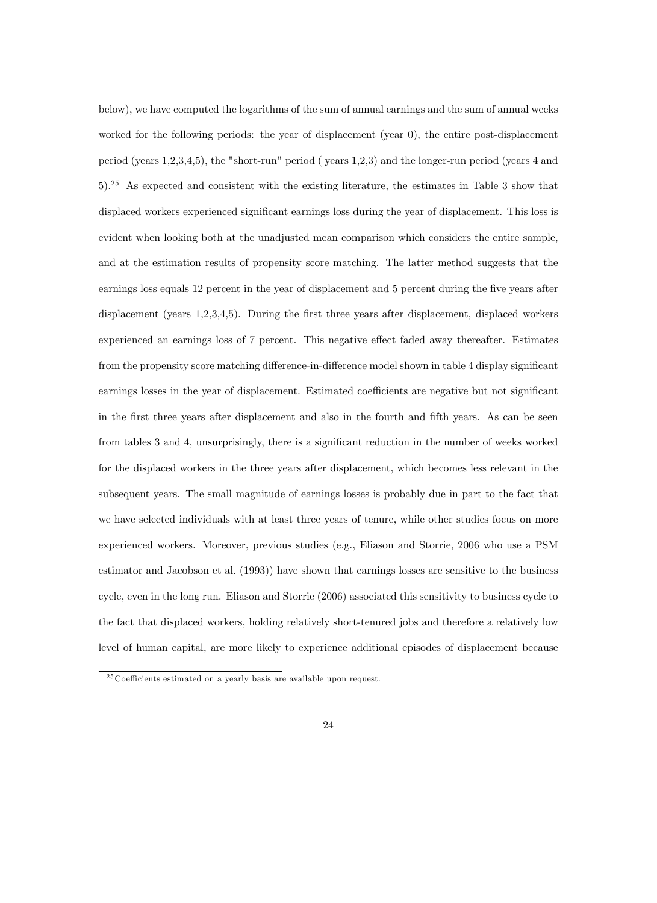below), we have computed the logarithms of the sum of annual earnings and the sum of annual weeks worked for the following periods: the year of displacement (year 0), the entire post-displacement period (years 1,2,3,4,5), the "short-run" period ( years 1,2,3) and the longer-run period (years 4 and 5).<sup>25</sup> As expected and consistent with the existing literature, the estimates in Table 3 show that displaced workers experienced significant earnings loss during the year of displacement. This loss is evident when looking both at the unadjusted mean comparison which considers the entire sample, and at the estimation results of propensity score matching. The latter method suggests that the earnings loss equals 12 percent in the year of displacement and 5 percent during the five years after displacement (years 1,2,3,4,5). During the first three years after displacement, displaced workers experienced an earnings loss of 7 percent. This negative effect faded away thereafter. Estimates from the propensity score matching difference-in-difference model shown in table 4 display significant earnings losses in the year of displacement. Estimated coefficients are negative but not significant in the first three years after displacement and also in the fourth and fifth years. As can be seen from tables 3 and 4, unsurprisingly, there is a significant reduction in the number of weeks worked for the displaced workers in the three years after displacement, which becomes less relevant in the subsequent years. The small magnitude of earnings losses is probably due in part to the fact that we have selected individuals with at least three years of tenure, while other studies focus on more experienced workers. Moreover, previous studies (e.g., Eliason and Storrie, 2006 who use a PSM estimator and Jacobson et al. (1993)) have shown that earnings losses are sensitive to the business cycle, even in the long run. Eliason and Storrie (2006) associated this sensitivity to business cycle to the fact that displaced workers, holding relatively short-tenured jobs and therefore a relatively low level of human capital, are more likely to experience additional episodes of displacement because

 $25$  Coefficients estimated on a yearly basis are available upon request.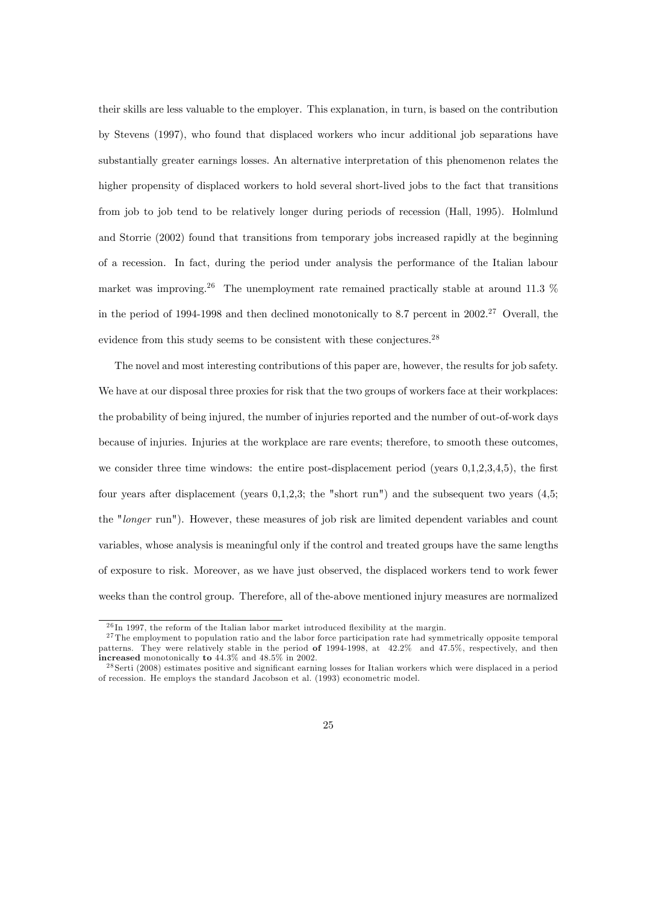their skills are less valuable to the employer. This explanation, in turn, is based on the contribution by Stevens (1997), who found that displaced workers who incur additional job separations have substantially greater earnings losses. An alternative interpretation of this phenomenon relates the higher propensity of displaced workers to hold several short-lived jobs to the fact that transitions from job to job tend to be relatively longer during periods of recession (Hall, 1995). Holmlund and Storrie (2002) found that transitions from temporary jobs increased rapidly at the beginning of a recession. In fact, during the period under analysis the performance of the Italian labour market was improving.<sup>26</sup> The unemployment rate remained practically stable at around 11.3  $%$ in the period of 1994-1998 and then declined monotonically to 8.7 percent in  $2002<sup>27</sup>$  Overall, the evidence from this study seems to be consistent with these conjectures.<sup>28</sup>

The novel and most interesting contributions of this paper are, however, the results for job safety. We have at our disposal three proxies for risk that the two groups of workers face at their workplaces: the probability of being injured, the number of injuries reported and the number of out-of-work days because of injuries. Injuries at the workplace are rare events; therefore, to smooth these outcomes, we consider three time windows: the entire post-displacement period (years  $0,1,2,3,4,5$ ), the first four years after displacement (years 0,1,2,3; the "short run") and the subsequent two years (4,5; the "longer run"). However, these measures of job risk are limited dependent variables and count variables, whose analysis is meaningful only if the control and treated groups have the same lengths of exposure to risk. Moreover, as we have just observed, the displaced workers tend to work fewer weeks than the control group. Therefore, all of the-above mentioned injury measures are normalized

 $^{26}$ In 1997, the reform of the Italian labor market introduced flexibility at the margin.

<sup>&</sup>lt;sup>27</sup>The employment to population ratio and the labor force participation rate had symmetrically opposite temporal patterns. They were relatively stable in the period of 1994-1998, at 42.2% and 47.5%, respectively, and then increased monotonically to 44.3% and 48.5% in 2002.

 $^{28}$ Serti (2008) estimates positive and significant earning losses for Italian workers which were displaced in a period of recession. He employs the standard Jacobson et al. (1993) econometric model.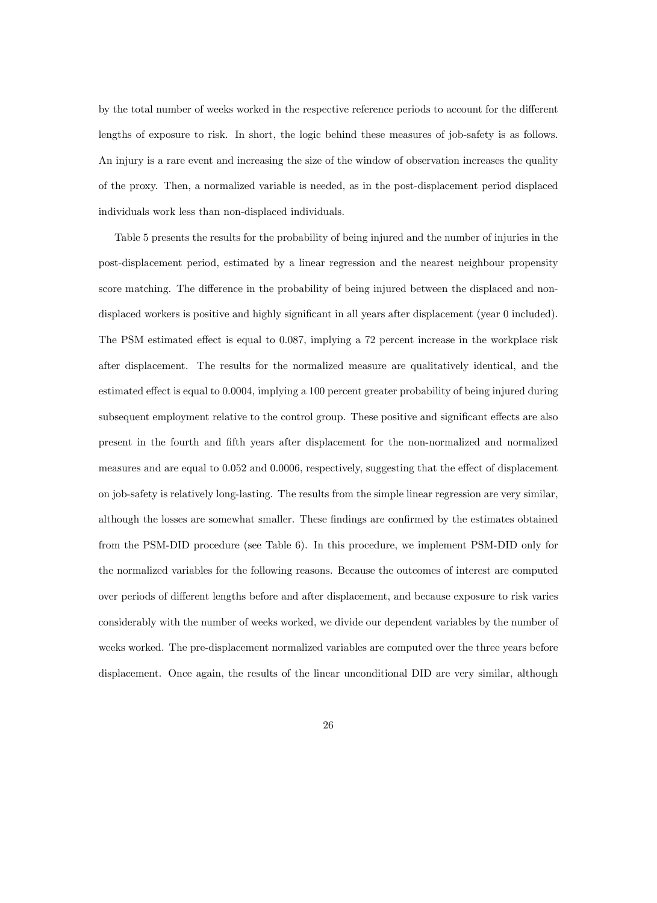by the total number of weeks worked in the respective reference periods to account for the different lengths of exposure to risk. In short, the logic behind these measures of job-safety is as follows. An injury is a rare event and increasing the size of the window of observation increases the quality of the proxy. Then, a normalized variable is needed, as in the post-displacement period displaced individuals work less than non-displaced individuals.

Table 5 presents the results for the probability of being injured and the number of injuries in the post-displacement period, estimated by a linear regression and the nearest neighbour propensity score matching. The difference in the probability of being injured between the displaced and nondisplaced workers is positive and highly significant in all years after displacement (year 0 included). The PSM estimated effect is equal to 0.087, implying a 72 percent increase in the workplace risk after displacement. The results for the normalized measure are qualitatively identical, and the estimated effect is equal to 0.0004, implying a 100 percent greater probability of being injured during subsequent employment relative to the control group. These positive and significant effects are also present in the fourth and Öfth years after displacement for the non-normalized and normalized measures and are equal to 0.052 and 0.0006, respectively, suggesting that the effect of displacement on job-safety is relatively long-lasting. The results from the simple linear regression are very similar, although the losses are somewhat smaller. These findings are confirmed by the estimates obtained from the PSM-DID procedure (see Table 6). In this procedure, we implement PSM-DID only for the normalized variables for the following reasons. Because the outcomes of interest are computed over periods of different lengths before and after displacement, and because exposure to risk varies considerably with the number of weeks worked, we divide our dependent variables by the number of weeks worked. The pre-displacement normalized variables are computed over the three years before displacement. Once again, the results of the linear unconditional DID are very similar, although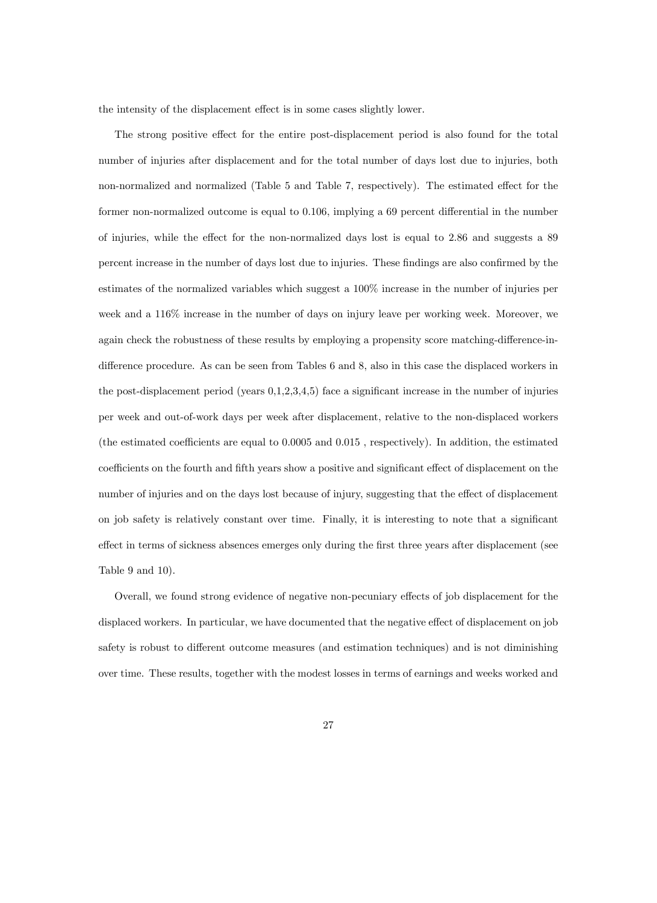the intensity of the displacement effect is in some cases slightly lower.

The strong positive effect for the entire post-displacement period is also found for the total number of injuries after displacement and for the total number of days lost due to injuries, both non-normalized and normalized (Table 5 and Table 7, respectively). The estimated effect for the former non-normalized outcome is equal to  $0.106$ , implying a 69 percent differential in the number of injuries, while the effect for the non-normalized days lost is equal to 2.86 and suggests a 89 percent increase in the number of days lost due to injuries. These findings are also confirmed by the estimates of the normalized variables which suggest a 100% increase in the number of injuries per week and a 116% increase in the number of days on injury leave per working week. Moreover, we again check the robustness of these results by employing a propensity score matching-difference-indifference procedure. As can be seen from Tables 6 and 8, also in this case the displaced workers in the post-displacement period (years  $0,1,2,3,4,5$ ) face a significant increase in the number of injuries per week and out-of-work days per week after displacement, relative to the non-displaced workers (the estimated coefficients are equal to  $0.0005$  and  $0.015$ , respectively). In addition, the estimated coefficients on the fourth and fifth years show a positive and significant effect of displacement on the number of injuries and on the days lost because of injury, suggesting that the effect of displacement on job safety is relatively constant over time. Finally, it is interesting to note that a significant effect in terms of sickness absences emerges only during the first three years after displacement (see Table 9 and 10).

Overall, we found strong evidence of negative non-pecuniary effects of job displacement for the displaced workers. In particular, we have documented that the negative effect of displacement on job safety is robust to different outcome measures (and estimation techniques) and is not diminishing over time. These results, together with the modest losses in terms of earnings and weeks worked and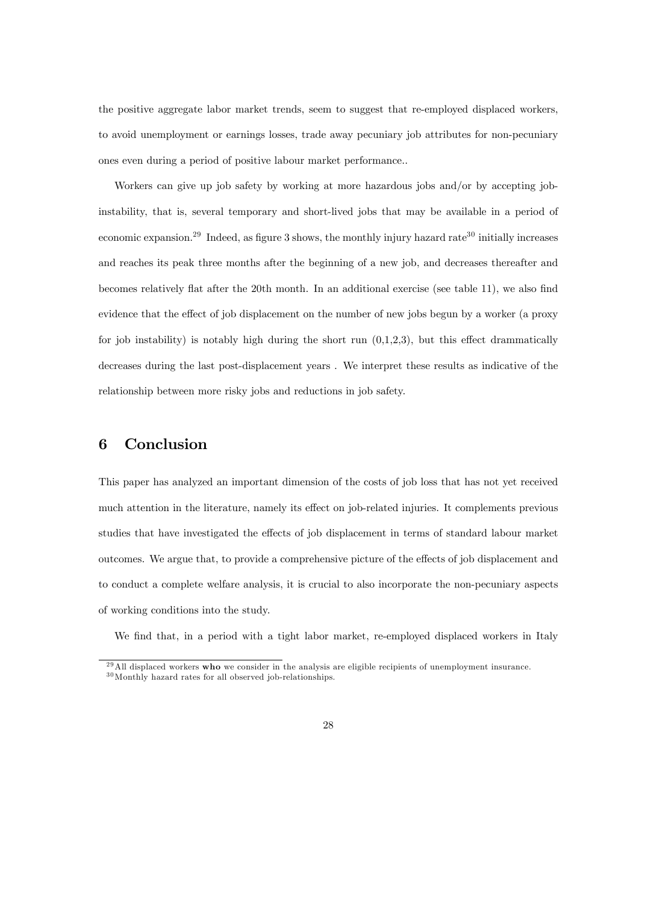the positive aggregate labor market trends, seem to suggest that re-employed displaced workers, to avoid unemployment or earnings losses, trade away pecuniary job attributes for non-pecuniary ones even during a period of positive labour market performance..

Workers can give up job safety by working at more hazardous jobs and/or by accepting jobinstability, that is, several temporary and short-lived jobs that may be available in a period of economic expansion.<sup>29</sup> Indeed, as figure 3 shows, the monthly injury hazard rate<sup>30</sup> initially increases and reaches its peak three months after the beginning of a new job, and decreases thereafter and becomes relatively flat after the 20th month. In an additional exercise (see table 11), we also find evidence that the effect of job displacement on the number of new jobs begun by a worker (a proxy for job instability) is notably high during the short run  $(0,1,2,3)$ , but this effect drammatically decreases during the last post-displacement years . We interpret these results as indicative of the relationship between more risky jobs and reductions in job safety.

#### 6 Conclusion

This paper has analyzed an important dimension of the costs of job loss that has not yet received much attention in the literature, namely its effect on job-related injuries. It complements previous studies that have investigated the effects of job displacement in terms of standard labour market outcomes. We argue that, to provide a comprehensive picture of the effects of job displacement and to conduct a complete welfare analysis, it is crucial to also incorporate the non-pecuniary aspects of working conditions into the study.

We find that, in a period with a tight labor market, re-employed displaced workers in Italy

 $^{29}$ All displaced workers who we consider in the analysis are eligible recipients of unemployment insurance. <sup>30</sup>Monthly hazard rates for all observed job-relationships.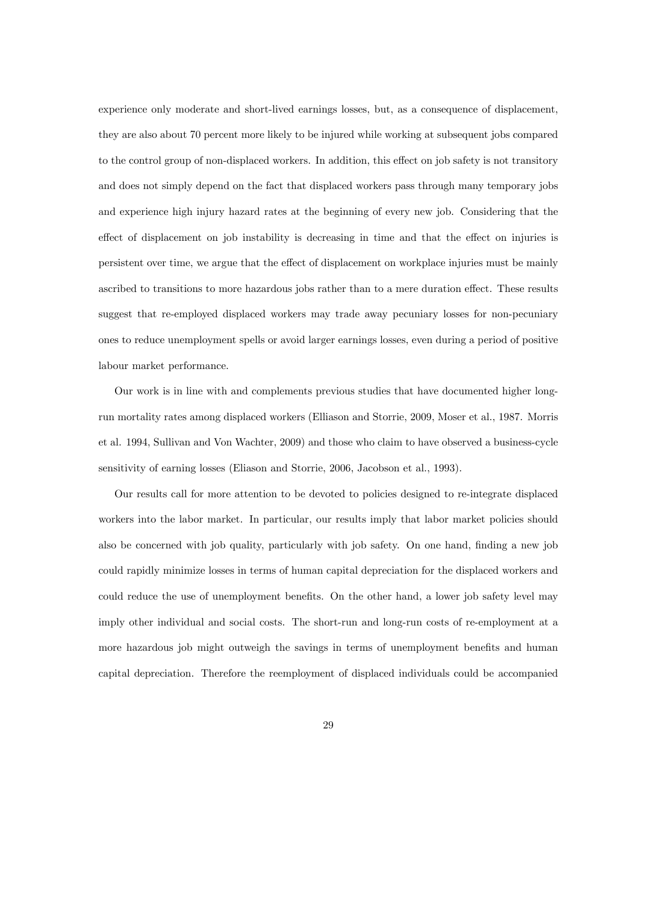experience only moderate and short-lived earnings losses, but, as a consequence of displacement, they are also about 70 percent more likely to be injured while working at subsequent jobs compared to the control group of non-displaced workers. In addition, this effect on job safety is not transitory and does not simply depend on the fact that displaced workers pass through many temporary jobs and experience high injury hazard rates at the beginning of every new job. Considering that the effect of displacement on job instability is decreasing in time and that the effect on injuries is persistent over time, we argue that the effect of displacement on workplace injuries must be mainly ascribed to transitions to more hazardous jobs rather than to a mere duration effect. These results suggest that re-employed displaced workers may trade away pecuniary losses for non-pecuniary ones to reduce unemployment spells or avoid larger earnings losses, even during a period of positive labour market performance.

Our work is in line with and complements previous studies that have documented higher longrun mortality rates among displaced workers (Elliason and Storrie, 2009, Moser et al., 1987. Morris et al. 1994, Sullivan and Von Wachter, 2009) and those who claim to have observed a business-cycle sensitivity of earning losses (Eliason and Storrie, 2006, Jacobson et al., 1993).

Our results call for more attention to be devoted to policies designed to re-integrate displaced workers into the labor market. In particular, our results imply that labor market policies should also be concerned with job quality, particularly with job safety. On one hand, finding a new job could rapidly minimize losses in terms of human capital depreciation for the displaced workers and could reduce the use of unemployment benefits. On the other hand, a lower job safety level may imply other individual and social costs. The short-run and long-run costs of re-employment at a more hazardous job might outweigh the savings in terms of unemployment benefits and human capital depreciation. Therefore the reemployment of displaced individuals could be accompanied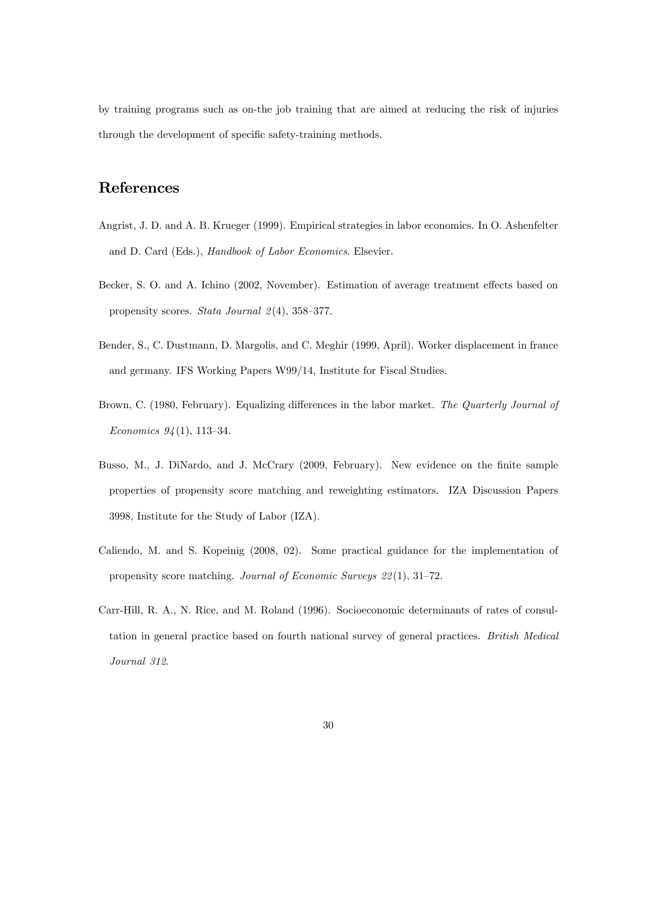by training programs such as on-the job training that are aimed at reducing the risk of injuries through the development of specific safety-training methods.

### References

- Angrist, J. D. and A. B. Krueger (1999). Empirical strategies in labor economics. In O. Ashenfelter and D. Card (Eds.), Handbook of Labor Economics. Elsevier.
- Becker, S. O. and A. Ichino (2002, November). Estimation of average treatment effects based on propensity scores. Stata Journal  $2(4)$ , 358–377.
- Bender, S., C. Dustmann, D. Margolis, and C. Meghir (1999, April). Worker displacement in france and germany. IFS Working Papers W99/14, Institute for Fiscal Studies.
- Brown, C. (1980, February). Equalizing differences in the labor market. The Quarterly Journal of Economics  $94(1)$ , 113-34.
- Busso, M., J. DiNardo, and J. McCrary (2009, February). New evidence on the finite sample properties of propensity score matching and reweighting estimators. IZA Discussion Papers 3998, Institute for the Study of Labor (IZA).
- Caliendo, M. and S. Kopeinig (2008, 02). Some practical guidance for the implementation of propensity score matching. Journal of Economic Surveys  $22(1)$ , 31–72.
- Carr-Hill, R. A., N. Rice, and M. Roland (1996). Socioeconomic determinants of rates of consultation in general practice based on fourth national survey of general practices. British Medical Journal 312.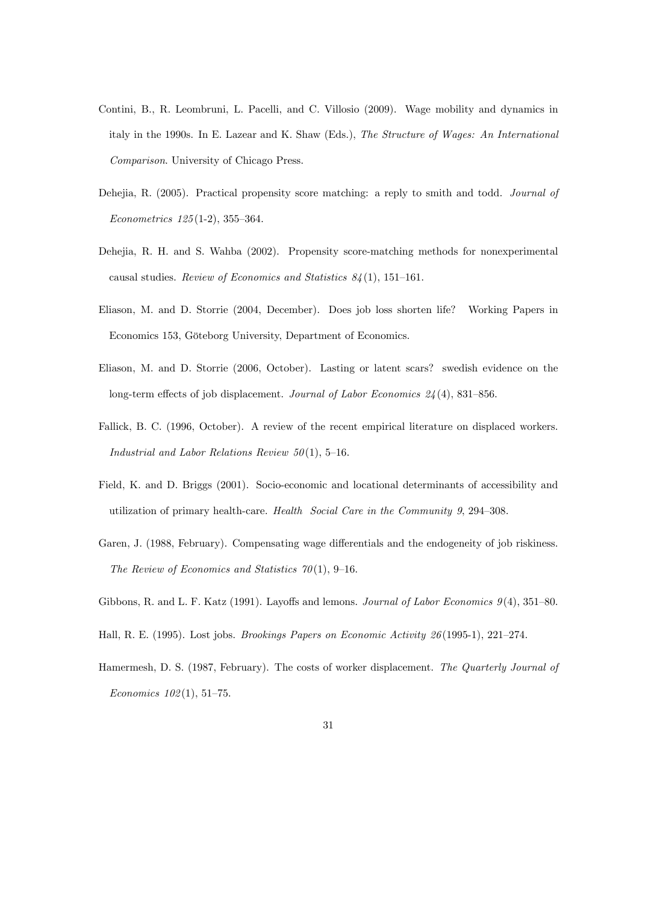- Contini, B., R. Leombruni, L. Pacelli, and C. Villosio (2009). Wage mobility and dynamics in italy in the 1990s. In E. Lazear and K. Shaw (Eds.), The Structure of Wages: An International Comparison. University of Chicago Press.
- Dehejia, R. (2005). Practical propensity score matching: a reply to smith and todd. *Journal of*  $Econometrics 125(1-2), 355-364.$
- Dehejia, R. H. and S. Wahba (2002). Propensity score-matching methods for nonexperimental causal studies. Review of Economics and Statistics  $84(1)$ , 151–161.
- Eliason, M. and D. Storrie (2004, December). Does job loss shorten life? Working Papers in Economics 153, Göteborg University, Department of Economics.
- Eliason, M. and D. Storrie (2006, October). Lasting or latent scars? swedish evidence on the long-term effects of job displacement. Journal of Labor Economics  $24(4)$ , 831–856.
- Fallick, B. C. (1996, October). A review of the recent empirical literature on displaced workers. Industrial and Labor Relations Review  $50(1)$ , 5-16.
- Field, K. and D. Briggs (2001). Socio-economic and locational determinants of accessibility and utilization of primary health-care. Health Social Care in the Community  $9, 294-308$ .
- Garen, J. (1988, February). Compensating wage differentials and the endogeneity of job riskiness. The Review of Economics and Statistics  $70(1)$ , 9-16.
- Gibbons, R. and L. F. Katz (1991). Layoffs and lemons. Journal of Labor Economics  $9(4)$ , 351–80.
- Hall, R. E. (1995). Lost jobs. *Brookings Papers on Economic Activity 26* (1995-1), 221-274.
- Hamermesh, D. S. (1987, February). The costs of worker displacement. The Quarterly Journal of Economics  $102(1)$ , 51-75.
	- 31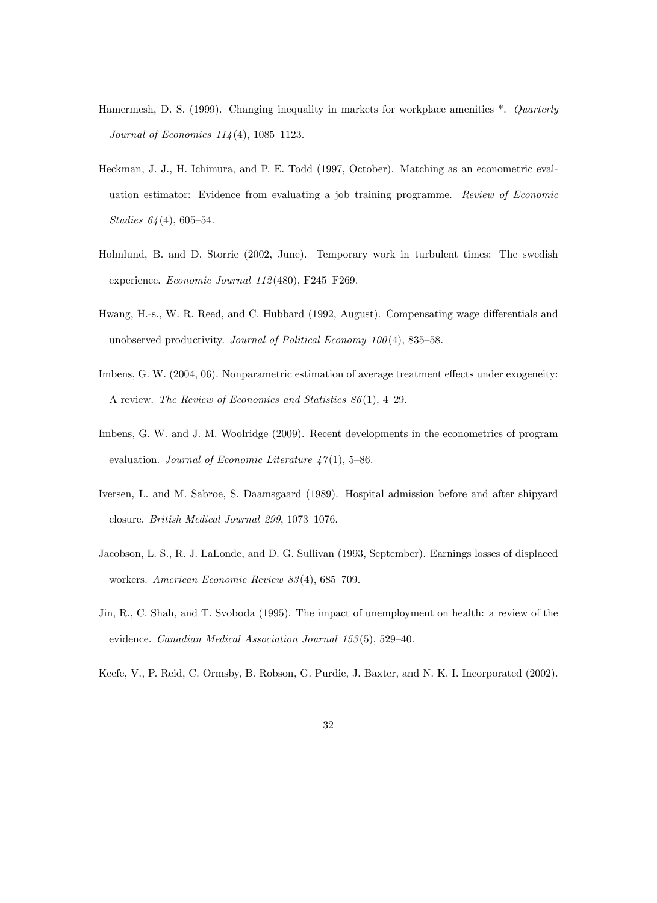- Hamermesh, D. S. (1999). Changing inequality in markets for workplace amenities  $*$ . Quarterly Journal of Economics  $114(4)$ , 1085-1123.
- Heckman, J. J., H. Ichimura, and P. E. Todd (1997, October). Matching as an econometric evaluation estimator: Evidence from evaluating a job training programme. Review of Economic Studies  $64(4)$ , 605-54.
- Holmlund, B. and D. Storrie (2002, June). Temporary work in turbulent times: The swedish experience. Economic Journal  $112(480)$ , F245–F269.
- Hwang, H.-s., W. R. Reed, and C. Hubbard (1992, August). Compensating wage differentials and unobserved productivity. Journal of Political Economy  $100(4)$ , 835–58.
- Imbens, G. W. (2004, 06). Nonparametric estimation of average treatment effects under exogeneity: A review. The Review of Economics and Statistics  $86(1)$ , 4-29.
- Imbens, G. W. and J. M. Woolridge (2009). Recent developments in the econometrics of program evaluation. Journal of Economic Literature  $47(1)$ , 5-86.
- Iversen, L. and M. Sabroe, S. Daamsgaard (1989). Hospital admission before and after shipyard closure. British Medical Journal 299, 1073-1076.
- Jacobson, L. S., R. J. LaLonde, and D. G. Sullivan (1993, September). Earnings losses of displaced workers. American Economic Review  $83(4)$ , 685-709.
- Jin, R., C. Shah, and T. Svoboda (1995). The impact of unemployment on health: a review of the evidence. Canadian Medical Association Journal  $153(5)$ , 529-40.
- Keefe, V., P. Reid, C. Ormsby, B. Robson, G. Purdie, J. Baxter, and N. K. I. Incorporated (2002).
	- 32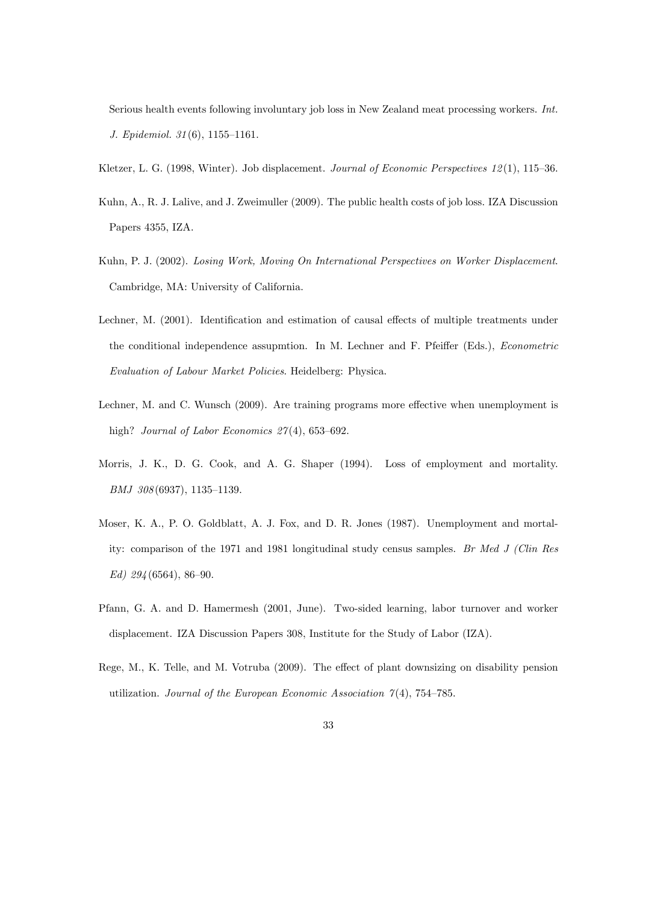Serious health events following involuntary job loss in New Zealand meat processing workers. Int. J. Epidemiol.  $31(6)$ , 1155-1161.

- Kletzer, L. G. (1998, Winter). Job displacement. Journal of Economic Perspectives 12(1), 115–36.
- Kuhn, A., R. J. Lalive, and J. Zweimuller (2009). The public health costs of job loss. IZA Discussion Papers 4355, IZA.
- Kuhn, P. J. (2002). Losing Work, Moving On International Perspectives on Worker Displacement. Cambridge, MA: University of California.
- Lechner, M. (2001). Identification and estimation of causal effects of multiple treatments under the conditional independence assupmtion. In M. Lechner and F. Pfeiffer (Eds.), *Econometric* Evaluation of Labour Market Policies. Heidelberg: Physica.
- Lechner, M. and C. Wunsch (2009). Are training programs more effective when unemployment is high? Journal of Labor Economics  $27(4)$ , 653-692.
- Morris, J. K., D. G. Cook, and A. G. Shaper (1994). Loss of employment and mortality.  $BMJ$  308 (6937), 1135-1139.
- Moser, K. A., P. O. Goldblatt, A. J. Fox, and D. R. Jones (1987). Unemployment and mortality: comparison of the 1971 and 1981 longitudinal study census samples. Br Med J (Clin Res  $Ed)$  294 (6564), 86-90.
- Pfann, G. A. and D. Hamermesh (2001, June). Two-sided learning, labor turnover and worker displacement. IZA Discussion Papers 308, Institute for the Study of Labor (IZA).
- Rege, M., K. Telle, and M. Votruba (2009). The effect of plant downsizing on disability pension utilization. Journal of the European Economic Association  $\gamma(4)$ , 754–785.
	- 33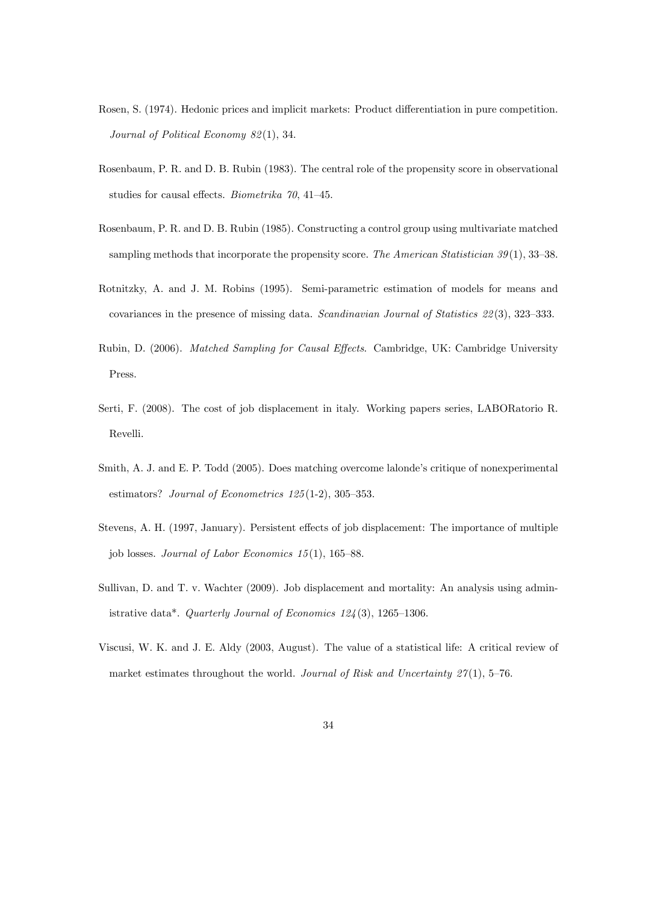- Rosen, S. (1974). Hedonic prices and implicit markets: Product differentiation in pure competition. Journal of Political Economy 82(1), 34.
- Rosenbaum, P. R. and D. B. Rubin (1983). The central role of the propensity score in observational studies for causal effects. *Biometrika*  $70$ , 41–45.
- Rosenbaum, P. R. and D. B. Rubin (1985). Constructing a control group using multivariate matched sampling methods that incorporate the propensity score. The American Statistician  $39(1)$ , 33–38.
- Rotnitzky, A. and J. M. Robins (1995). Semi-parametric estimation of models for means and covariances in the presence of missing data. Scandinavian Journal of Statistics  $22(3)$ , 323–333.
- Rubin, D. (2006). *Matched Sampling for Causal Effects*. Cambridge, UK: Cambridge University Press.
- Serti, F. (2008). The cost of job displacement in italy. Working papers series, LABORatorio R. Revelli.
- Smith, A. J. and E. P. Todd (2005). Does matching overcome lalonde's critique of nonexperimental estimators? Journal of Econometrics  $125(1-2)$ , 305-353.
- Stevens, A. H. (1997, January). Persistent effects of job displacement: The importance of multiple job losses. Journal of Labor Economics  $15(1)$ , 165–88.
- Sullivan, D. and T. v. Wachter (2009). Job displacement and mortality: An analysis using administrative data\*. Quarterly Journal of Economics  $124(3)$ , 1265–1306.
- Viscusi, W. K. and J. E. Aldy (2003, August). The value of a statistical life: A critical review of market estimates throughout the world. Journal of Risk and Uncertainty  $27(1)$ , 5–76.
	- 34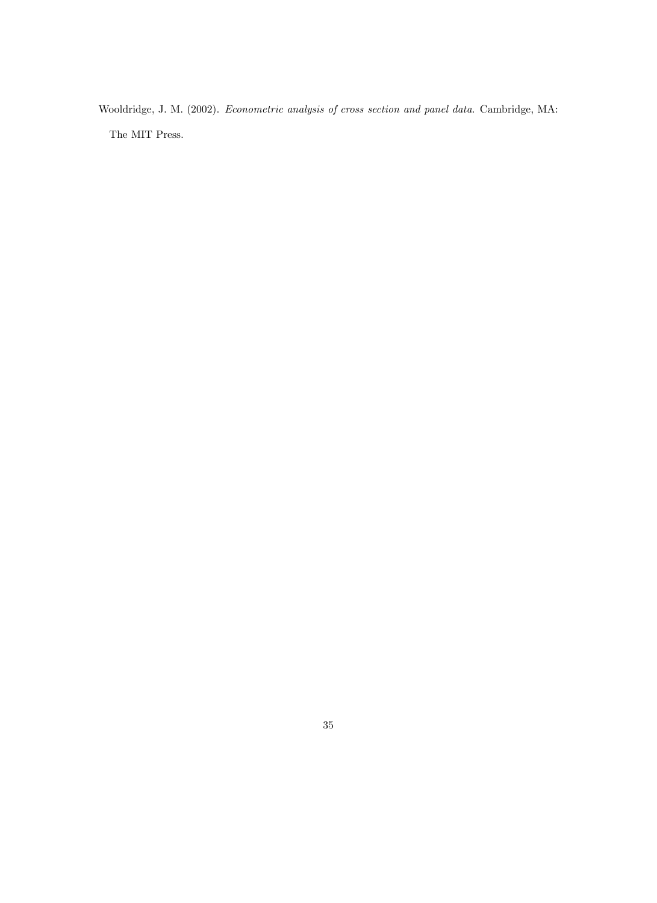Wooldridge, J. M. (2002). Econometric analysis of cross section and panel data. Cambridge, MA: The MIT Press.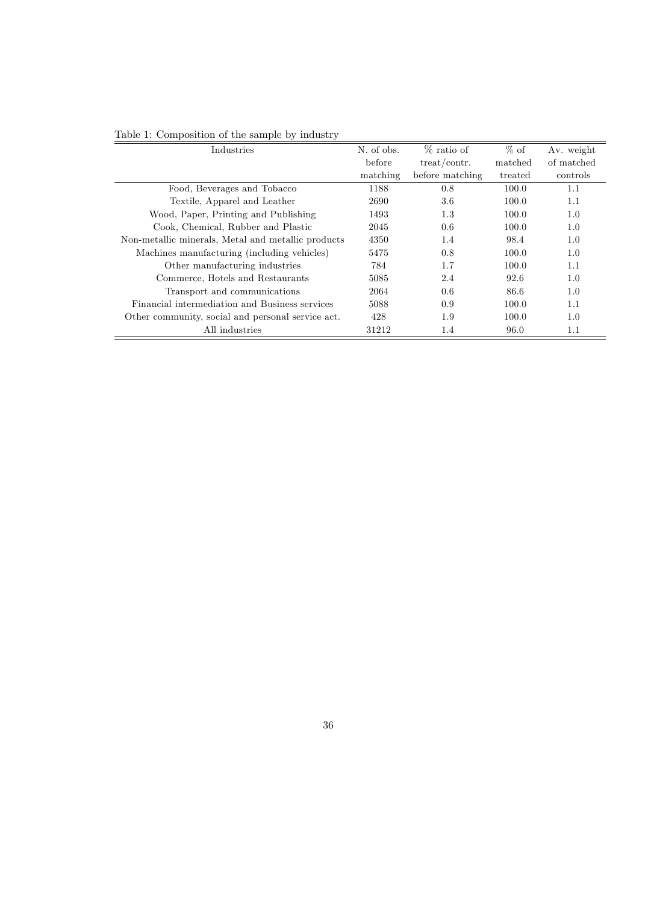| Industries                                         | N. of obs. | % ratio of      | $%$ of  | Av. weight |
|----------------------------------------------------|------------|-----------------|---------|------------|
|                                                    | before     | treat/contr.    | matched | of matched |
|                                                    | matching   | before matching | treated | controls   |
| Food, Beverages and Tobacco                        | 1188       | 0.8             | 100.0   | 1.1        |
| Textile, Apparel and Leather                       | 2690       | 3.6             | 100.0   | 1.1        |
| Wood, Paper, Printing and Publishing               | 1493       | 1.3             | 100.0   | 1.0        |
| Cook, Chemical, Rubber and Plastic                 | 2045       | 0.6             | 100.0   | 1.0        |
| Non-metallic minerals, Metal and metallic products | 4350       | 1.4             | 98.4    | 1.0        |
| Machines manufacturing (including vehicles)        | 5475       | 0.8             | 100.0   | 1.0        |
| Other manufacturing industries                     | 784        | 1.7             | 100.0   | 1.1        |
| Commerce, Hotels and Restaurants                   | 5085       | 2.4             | 92.6    | 1.0        |
| Transport and communications                       | 2064       | 0.6             | 86.6    | 1.0        |
| Financial intermediation and Business services     | 5088       | 0.9             | 100.0   | 1.1        |
| Other community, social and personal service act.  | 428        | 1.9             | 100.0   | 1.0        |
| All industries                                     | 31212      | 1.4             | 96.0    | 1.1        |

#### Table 1: Composition of the sample by industry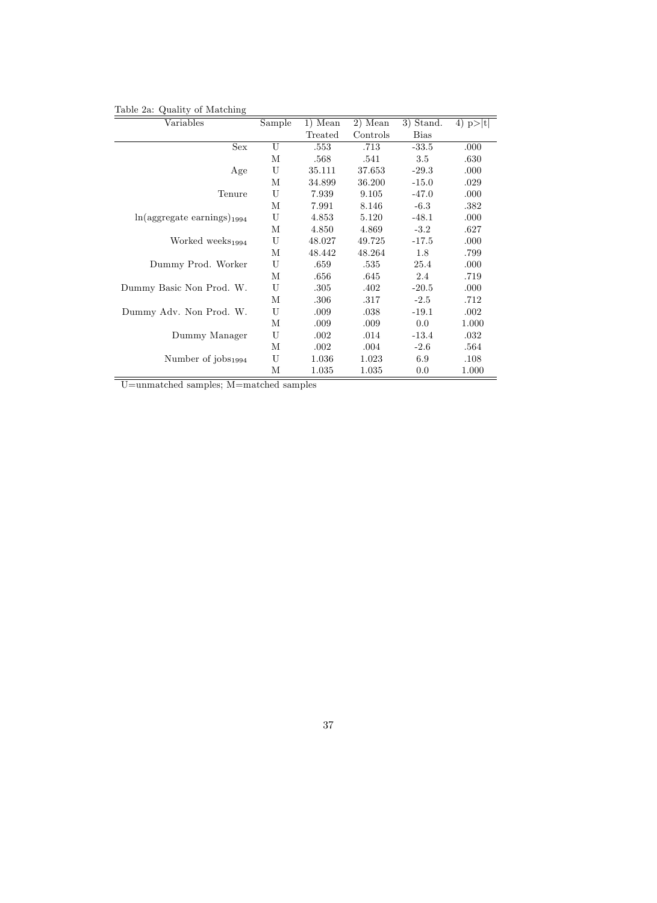#### Table 2a: Quality of Matching

| Variables                                 | Sample | 1) Mean | 2) Mean  | 3) Stand.   | 4) $p> t $ |
|-------------------------------------------|--------|---------|----------|-------------|------------|
|                                           |        | Treated | Controls | <b>Bias</b> |            |
| Sex                                       | U      | .553    | .713     | $-33.5$     | .000       |
|                                           | М      | .568    | .541     | 3.5         | .630       |
| Age                                       | U      | 35.111  | 37.653   | $-29.3$     | .000       |
|                                           | М      | 34.899  | 36.200   | $-15.0$     | .029       |
| Tenure                                    | U      | 7.939   | 9.105    | $-47.0$     | .000       |
|                                           | М      | 7.991   | 8.146    | $-6.3$      | .382       |
| $ln($ aggregate earnings) <sub>1994</sub> | U      | 4.853   | 5.120    | $-48.1$     | .000       |
|                                           | М      | 4.850   | 4.869    | $-3.2$      | .627       |
| Worked weeks <sub>1994</sub>              | U      | 48.027  | 49.725   | $-17.5$     | .000       |
|                                           | М      | 48.442  | 48.264   | 1.8         | .799       |
| Dummy Prod. Worker                        | U      | .659    | .535     | 25.4        | .000       |
|                                           | М      | .656    | .645     | 2.4         | .719       |
| Dummy Basic Non Prod. W.                  | U      | .305    | .402     | $-20.5$     | .000       |
|                                           | М      | .306    | .317     | $-2.5$      | .712       |
| Dummy Adv. Non Prod. W.                   | U      | .009    | .038     | $-19.1$     | .002       |
|                                           | М      | .009    | .009     | 0.0         | 1.000      |
| Dummy Manager                             | U      | .002    | .014     | $-13.4$     | .032       |
|                                           | М      | .002    | .004     | $-2.6$      | .564       |
| Number of $j$ obs $_{1994}$               | U      | 1.036   | 1.023    | 6.9         | .108       |
|                                           | М      | 1.035   | 1.035    | 0.0         | 1.000      |

U=unmatched samples; M=matched samples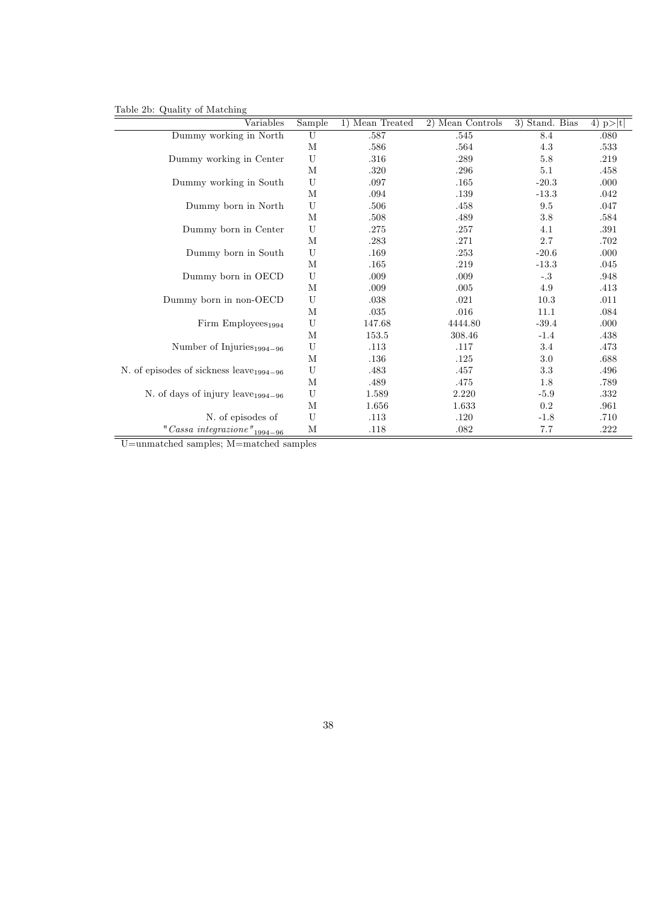Table 2b: Quality of Matching

| $\mathcal{L}$ and $\mathcal{L}$<br>01.20000111<br>Variables | Sample                    | 1) Mean Treated | 2) Mean Controls | 3) Stand. Bias | 4) $p> t $ |
|-------------------------------------------------------------|---------------------------|-----------------|------------------|----------------|------------|
| Dummy working in North                                      | U                         | .587            | .545             | 8.4            | .080       |
|                                                             | M                         | .586            | $.564\,$         | $4.3\,$        | .533       |
| Dummy working in Center                                     | U                         | .316            | .289             | $5.8\,$        | $.219\,$   |
|                                                             | M                         | .320            | .296             | 5.1            | .458       |
| Dummy working in South                                      | U                         | .097            | .165             | $-20.3$        | .000       |
|                                                             | M                         | .094            | .139             | $-13.3$        | .042       |
| Dummy born in North                                         | U                         | .506            | .458             | 9.5            | .047       |
|                                                             | М                         | .508            | .489             | 3.8            | .584       |
| Dummy born in Center                                        | $\ensuremath{\mathbf{U}}$ | .275            | $.257\,$         | 4.1            | .391       |
|                                                             | М                         | .283            | .271             | 2.7            | .702       |
| Dummy born in South                                         | U                         | .169            | .253             | $-20.6$        | .000       |
|                                                             | M                         | .165            | .219             | $-13.3$        | .045       |
| Dummy born in OECD                                          | U                         | .009            | .009             | $-.3$          | .948       |
|                                                             | M                         | .009            | .005             | 4.9            | .413       |
| Dummy born in non-OECD                                      | U                         | .038            | .021             | 10.3           | .011       |
|                                                             | M                         | $.035\,$        | .016             | 11.1           | .084       |
| Firm Employees $_{1994}$                                    | U                         | 147.68          | 4444.80          | $-39.4$        | .000       |
|                                                             | M                         | 153.5           | 308.46           | $-1.4$         | .438       |
| Number of Injuries <sub>1994-96</sub>                       | U                         | .113            | .117             | 3.4            | .473       |
|                                                             | М                         | .136            | .125             | 3.0            | .688       |
| N. of episodes of sickness leave $_{1994-96}$               | U                         | .483            | .457             | 3.3            | .496       |
|                                                             | M                         | .489            | .475             | 1.8            | .789       |
| N. of days of injury leave $_{1994-96}$                     | $\mathbf U$               | 1.589           | 2.220            | $-5.9$         | .332       |
|                                                             | М                         | 1.656           | 1.633            | 0.2            | .961       |
| N. of episodes of                                           | U                         | .113            | .120             | $-1.8$         | .710       |
| $" {\it Cassa\ integrazione\, } "_{1994-96}$                | M                         | .118            | .082             | 7.7            | .222       |

U=unmatched samples; M=matched samples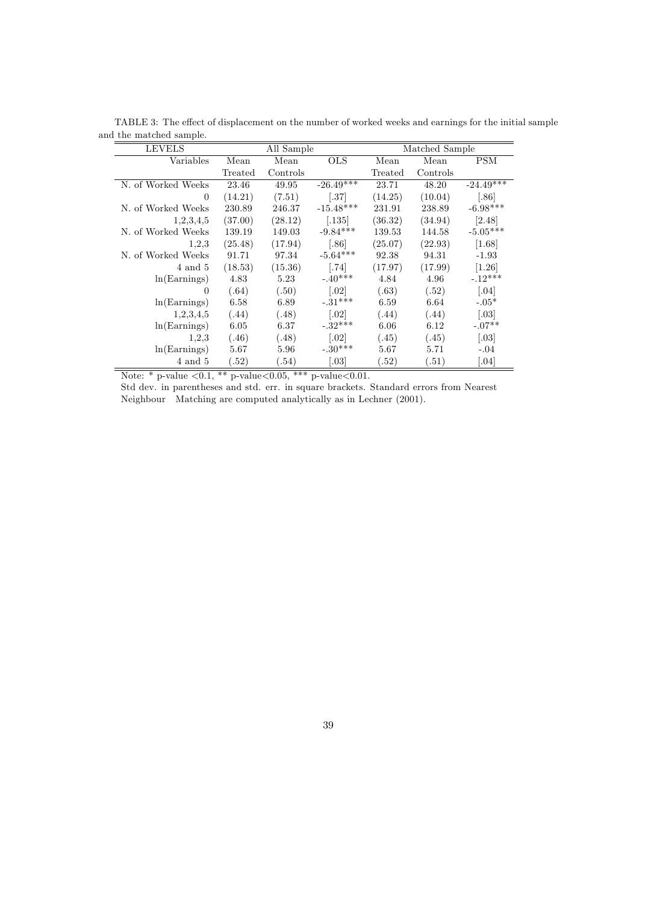| <b>LEVELS</b>      | All Sample |          |                      | Matched Sample |          |                     |
|--------------------|------------|----------|----------------------|----------------|----------|---------------------|
| Variables          | Mean       | Mean     | <b>OLS</b>           | Mean           | Mean     | <b>PSM</b>          |
|                    | Treated    | Controls |                      | Treated        | Controls |                     |
| N. of Worked Weeks | 23.46      | 49.95    | $-26.49***$          | 23.71          | 48.20    | $-24.49***$         |
| $\theta$           | (14.21)    | (7.51)   | $\left[ .37\right]$  | (14.25)        | (10.04)  | $[.86]$             |
| N. of Worked Weeks | 230.89     | 246.37   | $-15.48***$          | 231.91         | 238.89   | $-6.98***$          |
| 1,2,3,4,5          | (37.00)    | (28.12)  | $\left[ .135\right]$ | (36.32)        | (34.94)  | [2.48]              |
| N. of Worked Weeks | 139.19     | 149.03   | $-9.84***$           | 139.53         | 144.58   | $-5.05***$          |
| 1,2,3              | (25.48)    | (17.94)  | [.86]                | (25.07)        | (22.93)  | [1.68]              |
| N. of Worked Weeks | 91.71      | 97.34    | $-5.64***$           | 92.38          | 94.31    | $-1.93$             |
| 4 and 5            | (18.53)    | (15.36)  | $[.74]$              | (17.97)        | (17.99)  | $[1.26]$            |
| ln(Earnings)       | 4.83       | 5.23     | $-.40***$            | 4.84           | 4.96     | $-.12***$           |
| $\theta$           | (.64)      | (.50)    | $\left[ .02 \right]$ | (.63)          | (.52)    | $\left[ .04\right]$ |
| ln(Earnings)       | 6.58       | 6.89     | $-.31***$            | 6.59           | 6.64     | $-.05*$             |
| 1,2,3,4,5          | (.44)      | (.48)    | $\left[ .02 \right]$ | (.44)          | (.44)    | $[.03]$             |
| ln(Earnings)       | 6.05       | 6.37     | $-32***$             | 6.06           | 6.12     | $-.07**$            |
| 1,2,3              | (.46)      | (.48)    | $\left[ .02 \right]$ | (.45)          | (.45)    | $\left[ .03\right]$ |
| ln(Earnings)       | 5.67       | 5.96     | $-.30***$            | 5.67           | 5.71     | $-.04$              |
| 4 and 5            | (.52)      | (.54)    | $\left[ .03\right]$  | (.52)          | (.51)    | $\left[ .04\right]$ |

TABLE 3: The effect of displacement on the number of worked weeks and earnings for the initial sample and the matched sample.

Note: \* p-value  $< 0.1$ , \*\* p-value $< 0.05$ , \*\*\* p-value $< 0.01$ .

Std dev. in parentheses and std. err. in square brackets. Standard errors from Nearest Neighbour Matching are computed analytically as in Lechner (2001).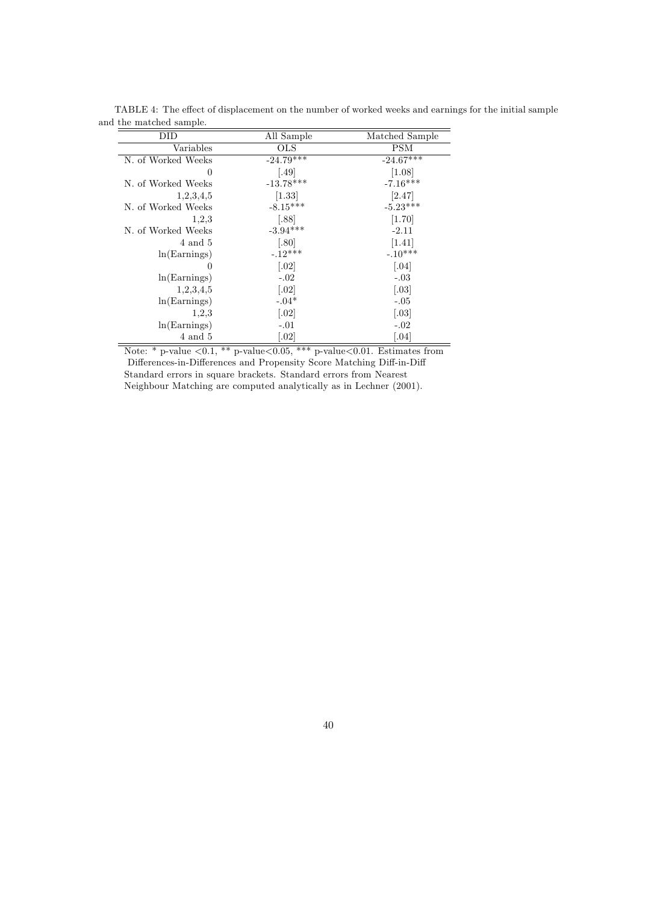| DID                | All Sample           | Matched Sample       |
|--------------------|----------------------|----------------------|
| Variables          | OLS                  | PSM                  |
| N. of Worked Weeks | $-24.79***$          | $-24.67***$          |
| $\theta$           | [.49]                | [1.08]               |
| N. of Worked Weeks | $-13.78***$          | $-7.16***$           |
| 1,2,3,4,5          | [1.33]               | [2.47]               |
| N. of Worked Weeks | $-8.15***$           | $-5.23***$           |
| 1,2,3              | [.88]                | $[1.70]$             |
| N. of Worked Weeks | $-3.94***$           | $-2.11$              |
| 4 and 5            | [.80]                | [1.41]               |
| ln(Earnings)       | $-.12***$            | $-.10***$            |
| 0                  | $\left[ .02 \right]$ | $\left[ .04\right]$  |
| ln(Earnings)       | $-.02$               | $-.03$               |
| 1,2,3,4,5          | $\left[ .02 \right]$ | $\left[ .03 \right]$ |
| ln(Earnings)       | $-.04*$              | $-.05$               |
| 1,2,3              | $\left[ .02 \right]$ | $\left[ .03 \right]$ |
| ln(Earnings)       | $-.01$               | $-.02$               |
| 4 and 5            | $\left[ .02 \right]$ | $\left[ .04\right]$  |

TABLE 4: The effect of displacement on the number of worked weeks and earnings for the initial sample and the matched sample.

Note: \* p-value  $\lt 0.1$ , \*\* p-value  $\lt 0.05$ , \*\*\* p-value  $\lt 0.01$ . Estimates from Differences-in-Differences and Propensity Score Matching Diff-in-Diff Standard errors in square brackets. Standard errors from Nearest Neighbour Matching are computed analytically as in Lechner (2001).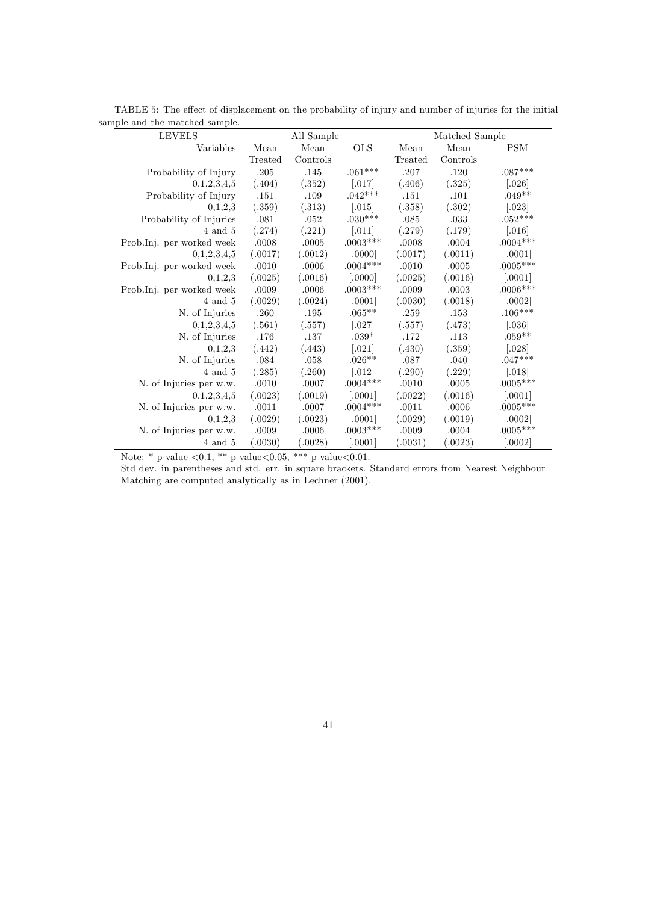| <b>LEVELS</b>             |           | All Sample |                      | Matched Sample |           |                       |  |
|---------------------------|-----------|------------|----------------------|----------------|-----------|-----------------------|--|
| Variables                 | Mean      | Mean       | <b>OLS</b>           | Mean           | Mean      | <b>PSM</b>            |  |
|                           | Treated   | Controls   |                      | Treated        | Controls  |                       |  |
| Probability of Injury     | $.205\,$  | .145       | $.061***$            | .207           | .120      | $.087***$             |  |
| 0,1,2,3,4,5               | (.404)    | (.352)     | $[.017]$             | (.406)         | (.325)    | $[.026]$              |  |
| Probability of Injury     | .151      | .109       | $.042***$            | .151           | .101      | $.049**$              |  |
| 0,1,2,3                   | (.359)    | (.313)     | $\left[ .015\right]$ | (.358)         | (.302)    | $\left[ .023\right]$  |  |
| Probability of Injuries   | .081      | .052       | $.030***$            | $.085\,$       | .033      | $.052***$             |  |
| 4 and 5                   | (.274)    | (.221)     | $\left[ .011\right]$ | (.279)         | (.179)    | $\left[ .016 \right]$ |  |
| Prob.Inj. per worked week | .0008     | .0005      | $.0003***$           | .0008          | .0004     | $.0004***$            |  |
| 0,1,2,3,4,5               | (.0017)   | (.0012)    | [.0000]              | (.0017)        | (.0011)   | $[.0001]$             |  |
| Prob.Inj. per worked week | $.0010\,$ | .0006      | $.0004***$           | .0010          | $.0005\,$ | $.0005***$            |  |
| 0,1,2,3                   | (.0025)   | (.0016)    | [.0000]              | (.0025)        | (.0016)   | $[.0001]$             |  |
| Prob.Inj. per worked week | .0009     | .0006      | $.0003***$           | .0009          | .0003     | $.0006***$            |  |
| $4$ and $5$               | (.0029)   | (.0024)    | $[.0001]$            | (.0030)        | (.0018)   | $[.0002]$             |  |
| N. of Injuries            | .260      | .195       | $.065***$            | .259           | .153      | $.106***$             |  |
| 0,1,2,3,4,5               | (.561)    | (.557)     | $[.027]$             | (.557)         | (.473)    | $[.036]$              |  |
| N. of Injuries            | .176      | .137       | $.039*$              | .172           | .113      | $.059**$              |  |
| 0,1,2,3                   | (.442)    | (.443)     | $[.021]$             | (.430)         | (.359)    | $[.028]$              |  |
| N. of Injuries            | .084      | .058       | $.026**$             | .087           | .040      | $.047***$             |  |
| $4$ and $5$               | (.285)    | (.260)     | $[.012]$             | (.290)         | (.229)    | $[.018]$              |  |
| N. of Injuries per w.w.   | .0010     | .0007      | $.0004***$           | .0010          | .0005     | $.0005***$            |  |
| 0,1,2,3,4,5               | (.0023)   | (.0019)    | $[.0001]$            | (.0022)        | (.0016)   | $[.0001]$             |  |
| N. of Injuries per w.w.   | .0011     | .0007      | $.0004***$           | .0011          | .0006     | $.0005***$            |  |
| 0,1,2,3                   | (.0029)   | (.0023)    | [.0001]              | (.0029)        | (.0019)   | [.0002]               |  |
| N. of Injuries per w.w.   | .0009     | .0006      | $.0003***$           | .0009          | .0004     | $.0005***$            |  |
| $4$ and $5$               | (.0030)   | (.0028)    | $[.0001]$            | (.0031)        | (.0023)   | $[.0002]$             |  |

TABLE 5: The effect of displacement on the probability of injury and number of injuries for the initial sample and the matched sample.

Note: \* p-value  $< 0.1$ , \*\* p-value $< 0.05$ , \*\*\* p-value $< 0.01$ .

Std dev. in parentheses and std. err. in square brackets. Standard errors from Nearest Neighbour Matching are computed analytically as in Lechner (2001).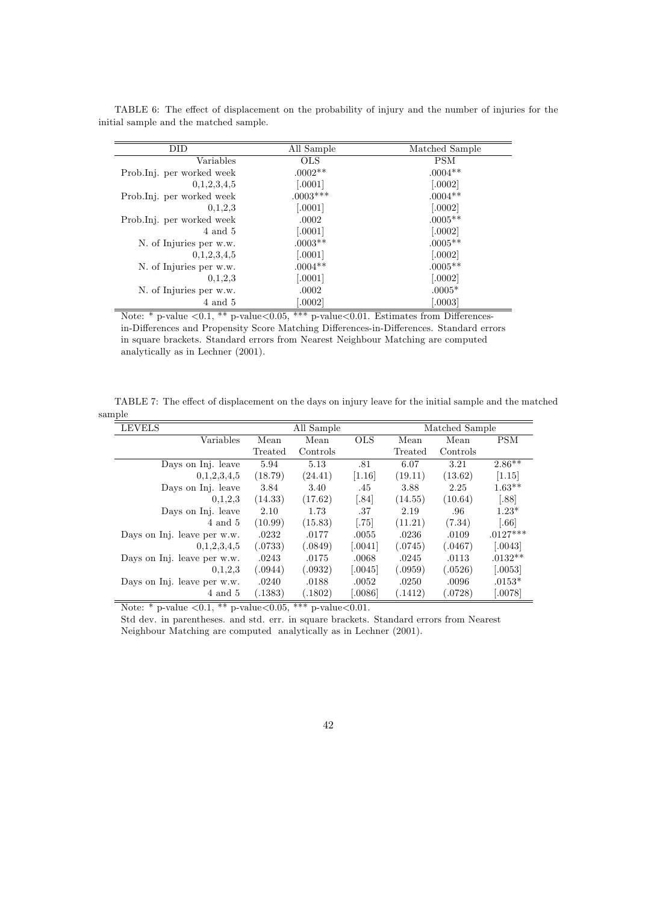| DID                       | All Sample | Matched Sample |
|---------------------------|------------|----------------|
| Variables                 | <b>OLS</b> | <b>PSM</b>     |
| Prob.Inj. per worked week | $.0002**$  | $.0004**$      |
| 0,1,2,3,4,5               | [.0001]    | [.0002]        |
| Prob.Inj. per worked week | $.0003***$ | $.0004**$      |
| 0,1,2,3                   | [.0001]    | $[.0002]$      |
| Prob.Inj. per worked week | .0002      | $.0005**$      |
| 4 and 5                   | [.0001]    | [.0002]        |
| N. of Injuries per w.w.   | $.0003**$  | $.0005**$      |
| 0,1,2,3,4,5               | [.0001]    | $[.0002]$      |
| N. of Injuries per w.w.   | $.0004**$  | $.0005**$      |
| 0.1.2.3                   | [.0001]    | [.0002]        |
| N. of Injuries per w.w.   | .0002      | $.0005*$       |
| 4 and 5                   | 0.0002     | 0.0003         |

TABLE 6: The effect of displacement on the probability of injury and the number of injuries for the initial sample and the matched sample.

Note: \* p-value  $\langle 0.1, \frac{***}{} \rangle$  p-value $\langle 0.05, \frac{***}{} \rangle$  p-value $\langle 0.01$ . Estimates from Differencesin-Differences and Propensity Score Matching Differences-in-Differences. Standard errors in square brackets. Standard errors from Nearest Neighbour Matching are computed analytically as in Lechner (2001).

TABLE 7: The effect of displacement on the days on injury leave for the initial sample and the matched sample

| <b>LEVELS</b>               |         | All Sample  | Matched Sample |         |          |            |  |
|-----------------------------|---------|-------------|----------------|---------|----------|------------|--|
| Variables                   | Mean    | Mean        | <b>OLS</b>     | Mean    | Mean     | <b>PSM</b> |  |
|                             | Treated | Controls    |                | Treated | Controls |            |  |
| Days on Inj. leave          | 5.94    | 5.13        | .81            | 6.07    | 3.21     | $2.86**$   |  |
| 0,1,2,3,4,5                 | (18.79) | (24.41)     | [1.16]         | (19.11) | (13.62)  | [1.15]     |  |
| Days on Inj. leave          | 3.84    | 3.40        | .45            | 3.88    | 2.25     | $1.63**$   |  |
| 0,1,2,3                     | (14.33) | (17.62)     | [.84]          | (14.55) | (10.64)  | [.88]      |  |
| Days on Inj. leave          | 2.10    | 1.73        | .37            | 2.19    | .96      | $1.23*$    |  |
| 4 and 5                     | (10.99) | (15.83)     | [.75]          | (11.21) | (7.34)   | [.66]      |  |
| Days on Inj. leave per w.w. | .0232   | .0177       | .0055          | .0236   | .0109    | $.0127***$ |  |
| 0,1,2,3,4,5                 | (.0733) | (.0849)     | [.0041]        | (.0745) | (.0467)  | 0.0043     |  |
| Days on Inj. leave per w.w. | .0243   | .0175       | .0068          | .0245   | .0113    | $.0132**$  |  |
| 0,1,2,3                     | (.0944) | (.0932)     | 0.0045         | (.0959) | (.0526)  | 0.0053     |  |
| Days on Inj. leave per w.w. | .0240   | .0188       | .0052          | .0250   | .0096    | $.0153*$   |  |
| 4 and 5                     | (.1383) | (1802)<br>. | [.0086]        | (.1412) | (.0728)  | [.0078]    |  |

Note: \* p-value  $<\!\!0.1,$  \*\* p-value<br> $<\!\!0.05,$  \*\*\* p-value<br>  $<\!\!0.01.$ 

Std dev. in parentheses. and std. err. in square brackets. Standard errors from Nearest Neighbour Matching are computed analytically as in Lechner (2001).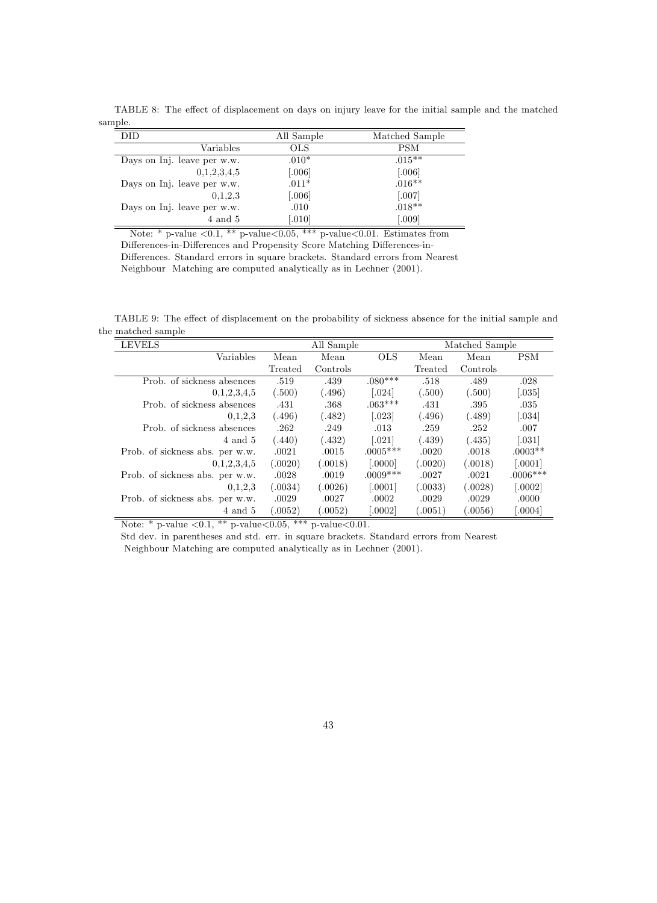|         | TABLE 8: The effect of displacement on days on injury leave for the initial sample and the matched |  |  |  |  |  |
|---------|----------------------------------------------------------------------------------------------------|--|--|--|--|--|
| sample. |                                                                                                    |  |  |  |  |  |

| DID                         | All Sample | Matched Sample |
|-----------------------------|------------|----------------|
| Variables                   | <b>OLS</b> | <b>PSM</b>     |
| Days on Inj. leave per w.w. | $.010*$    | $.015***$      |
| 0.1, 2.3, 4.5               | [.006]     | [.006]         |
| Days on Inj. leave per w.w. | $.011*$    | $.016**$       |
| 0.1.2.3                     | [.006]     | $[.007]$       |
| Days on Inj. leave per w.w. | .010       | $.018**$       |
| 4 and 5                     | [.010]     | [.009]         |

Note: \* p-value  $\langle 0.1, \cdot \cdot \cdot \rangle$  p-value  $\langle 0.05, \cdot \cdot \cdot \cdot \rangle$  p-value  $\langle 0.01, \cdot \cdot \cdot \rangle$  Estimates from Differences-in-Differences and Propensity Score Matching Differences-in-Differences. Standard errors in square brackets. Standard errors from Nearest Neighbour Matching are computed analytically as in Lechner (2001).

TABLE 9: The effect of displacement on the probability of sickness absence for the initial sample and the matched sample  $\overline{a}$ 

| <b>LEVELS</b>                   |         | All Sample |            |         | Matched Sample |                      |
|---------------------------------|---------|------------|------------|---------|----------------|----------------------|
| Variables                       | Mean    | Mean       | <b>OLS</b> | Mean    | Mean           | <b>PSM</b>           |
|                                 | Treated | Controls   |            | Treated | Controls       |                      |
| Prob. of sickness absences      | .519    | .439       | $.080***$  | .518    | .489           | .028                 |
| 0,1,2,3,4,5                     | (.500)  | (496)      | [.024]     | (.500)  | (.500)         | $\left[ .035\right]$ |
| Prob. of sickness absences      | .431    | .368       | $.063***$  | .431    | .395           | .035                 |
| 0,1,2,3                         | (.496)  | (.482)     | [.023]     | (.496)  | (.489)         | [.034]               |
| Prob. of sickness absences      | .262    | .249       | .013       | .259    | .252           | .007                 |
| 4 and 5                         | (.440)  | (432)      | [.021]     | (.439)  | (.435)         | $\left[ .031\right]$ |
| Prob. of sickness abs. per w.w. | .0021   | .0015      | $.0005***$ | .0020   | .0018          | $.0003**$            |
| 0,1,2,3,4,5                     | (.0020) | (.0018)    | 0000       | (.0020) | (.0018)        | [.0001]              |
| Prob. of sickness abs. per w.w. | .0028   | .0019      | $.0009***$ | .0027   | .0021          | $.0006***$           |
| 0.1.2.3                         | (.0034) | (.0026)    | 0.0001     | (.0033) | (.0028)        | [.0002]              |
| Prob. of sickness abs. per w.w. | .0029   | .0027      | .0002      | .0029   | .0029          | .0000                |
| 4 and 5                         | (.0052) | (.0052)    | [.0002]    | 0.0051  | (.0056)        | [.0004]              |

Note: \* p-value  $\langle 0.1, \frac{**}{*} \text{ p-value} \langle 0.05, \frac{***}{*} \text{ p-value} \langle 0.01, \rangle$ 

Std dev. in parentheses and std. err. in square brackets. Standard errors from Nearest Neighbour Matching are computed analytically as in Lechner (2001).

43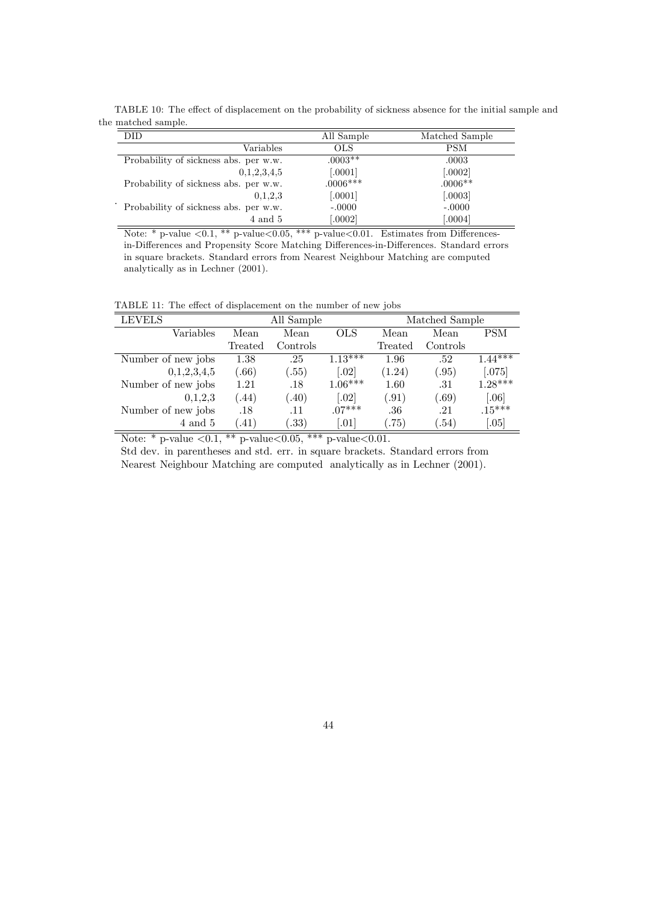TABLE 10: The effect of displacement on the probability of sickness absence for the initial sample and the matched sample.

| DID                                   | All Sample | Matched Sample |
|---------------------------------------|------------|----------------|
| Variables                             | OLS        | PSM            |
| Probability of sickness abs. per w.w. | $.0003**$  | .0003          |
| 0,1,2,3,4,5                           | [.0001]    | [.0002]        |
| Probability of sickness abs. per w.w. | $.0006***$ | $.0006**$      |
| 0.1.2.3                               | [.0001]    | [.0003]        |
| Probability of sickness abs. per w.w. | $-.0000$   | $-.0000$       |
| 4 and 5                               | 0.0002     | 0.0004         |

Note: \* p-value  $\langle 0.1, * \rangle$  p-value $\langle 0.05, ** \rangle$  p-value $\langle 0.01, * \rangle$  Estimates from Differencesin-Differences and Propensity Score Matching Differences-in-Differences. Standard errors in square brackets. Standard errors from Nearest Neighbour Matching are computed analytically as in Lechner (2001).

TABLE 11: The effect of displacement on the number of new jobs

| <b>THOMAGE.</b> The effect of displacement on the number of new jobs |          |            |                |          |           |  |  |  |
|----------------------------------------------------------------------|----------|------------|----------------|----------|-----------|--|--|--|
| All Sample                                                           |          |            | Matched Sample |          |           |  |  |  |
| Mean                                                                 | Mean     | <b>OLS</b> | Mean           | Mean     | PSM       |  |  |  |
| Treated                                                              | Controls |            | Treated        | Controls |           |  |  |  |
| 1.38                                                                 | .25      | $1.13***$  | 1.96           | .52      | $1.44***$ |  |  |  |
| (0.66)                                                               | (.55)    | [.02]      | (1.24)         | (.95)    | $[.075]$  |  |  |  |
| 1.21                                                                 | .18      | $1.06***$  | 1.60           | .31      | $1.28***$ |  |  |  |
| (44)                                                                 | (.40)    | [.02]      | (.91)          | (.69)    | [.06]     |  |  |  |
| .18                                                                  | .11      | $.07***$   | .36            | .21      | $.15***$  |  |  |  |
| (41)                                                                 | .33)     | [.01]      | (75)           | (.54)    | [.05]     |  |  |  |
|                                                                      |          |            |                |          |           |  |  |  |

Note: \* p-value  $\langle 0.1, \ast \ast$  p-value $\langle 0.05, \ast \ast \ast$  p-value $\langle 0.01, \ast \ast \ast \ast \ast \rangle$ 

Std dev. in parentheses and std. err. in square brackets. Standard errors from

Nearest Neighbour Matching are computed analytically as in Lechner (2001).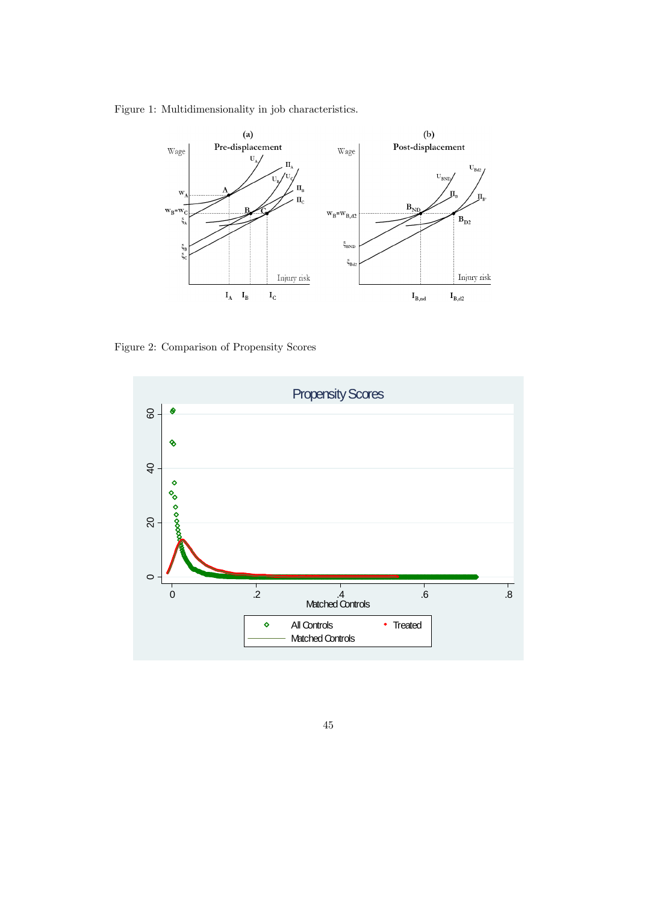Figure 1: Multidimensionality in job characteristics.



Figure 2: Comparison of Propensity Scores



45